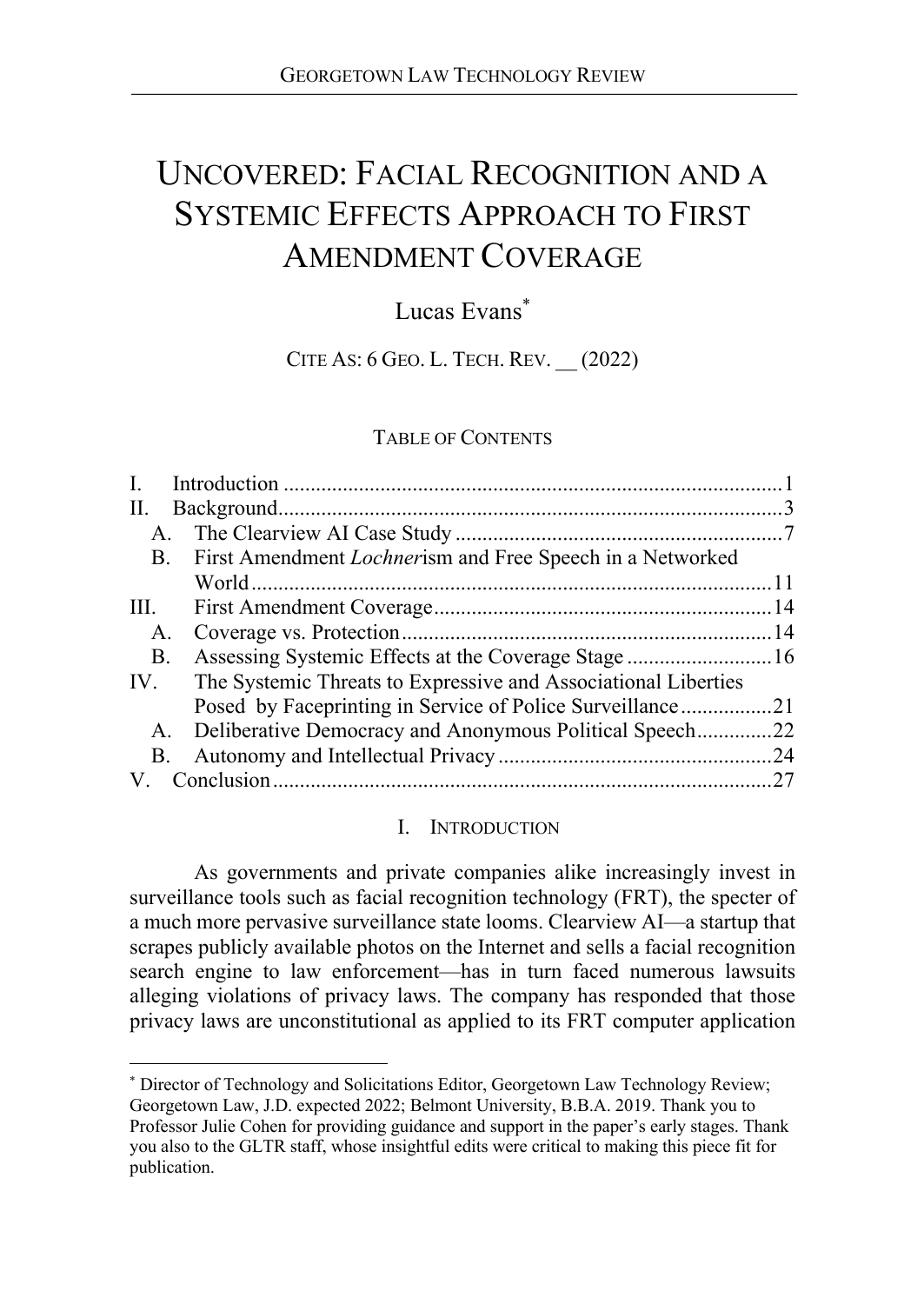# UNCOVERED: FACIAL RECOGNITION AND A SYSTEMIC EFFECTS APPROACH TO FIRST AMENDMENT COVERAGE

# Lucas Evans\*

CITE AS: 6 GEO. L. TECH. REV. \_\_ (2022)

#### TABLE OF CONTENTS

| Assessing Systemic Effects at the Coverage Stage 16               |
|-------------------------------------------------------------------|
| The Systemic Threats to Expressive and Associational Liberties    |
|                                                                   |
| Deliberative Democracy and Anonymous Political Speech22           |
|                                                                   |
| .27                                                               |
| First Amendment <i>Lochner</i> ism and Free Speech in a Networked |

# I. INTRODUCTION

As governments and private companies alike increasingly invest in surveillance tools such as facial recognition technology (FRT), the specter of a much more pervasive surveillance state looms. Clearview AI—a startup that scrapes publicly available photos on the Internet and sells a facial recognition search engine to law enforcement—has in turn faced numerous lawsuits alleging violations of privacy laws. The company has responded that those privacy laws are unconstitutional as applied to its FRT computer application

 <sup>\*</sup> Director of Technology and Solicitations Editor, Georgetown Law Technology Review; Georgetown Law, J.D. expected 2022; Belmont University, B.B.A. 2019. Thank you to Professor Julie Cohen for providing guidance and support in the paper's early stages. Thank you also to the GLTR staff, whose insightful edits were critical to making this piece fit for publication.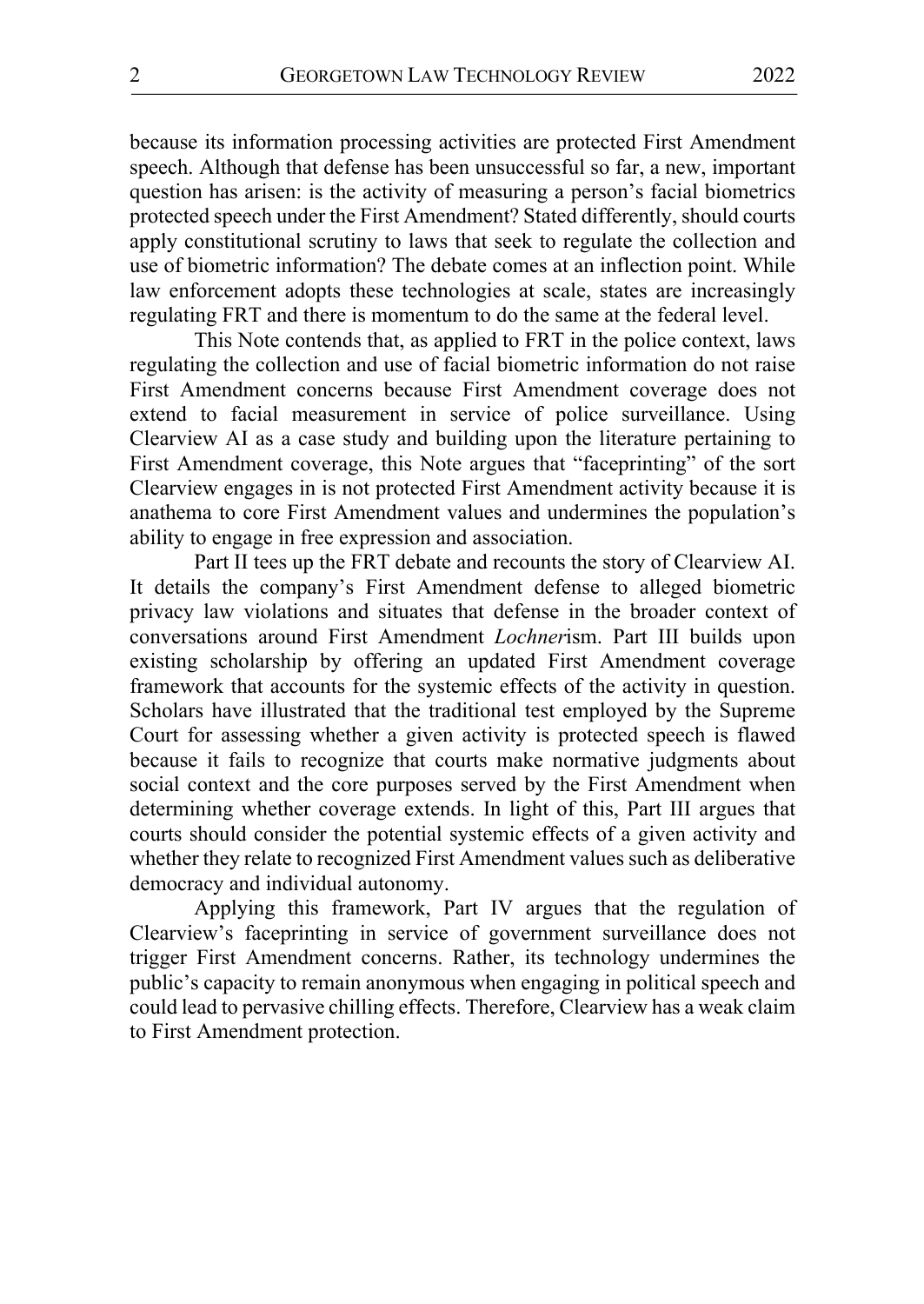because its information processing activities are protected First Amendment speech. Although that defense has been unsuccessful so far, a new, important question has arisen: is the activity of measuring a person's facial biometrics protected speech under the First Amendment? Stated differently, should courts apply constitutional scrutiny to laws that seek to regulate the collection and use of biometric information? The debate comes at an inflection point. While law enforcement adopts these technologies at scale, states are increasingly regulating FRT and there is momentum to do the same at the federal level.

This Note contends that, as applied to FRT in the police context, laws regulating the collection and use of facial biometric information do not raise First Amendment concerns because First Amendment coverage does not extend to facial measurement in service of police surveillance. Using Clearview AI as a case study and building upon the literature pertaining to First Amendment coverage, this Note argues that "faceprinting" of the sort Clearview engages in is not protected First Amendment activity because it is anathema to core First Amendment values and undermines the population's ability to engage in free expression and association.

Part II tees up the FRT debate and recounts the story of Clearview AI. It details the company's First Amendment defense to alleged biometric privacy law violations and situates that defense in the broader context of conversations around First Amendment *Lochner*ism. Part III builds upon existing scholarship by offering an updated First Amendment coverage framework that accounts for the systemic effects of the activity in question. Scholars have illustrated that the traditional test employed by the Supreme Court for assessing whether a given activity is protected speech is flawed because it fails to recognize that courts make normative judgments about social context and the core purposes served by the First Amendment when determining whether coverage extends. In light of this, Part III argues that courts should consider the potential systemic effects of a given activity and whether they relate to recognized First Amendment values such as deliberative democracy and individual autonomy.

Applying this framework, Part IV argues that the regulation of Clearview's faceprinting in service of government surveillance does not trigger First Amendment concerns. Rather, its technology undermines the public's capacity to remain anonymous when engaging in political speech and could lead to pervasive chilling effects. Therefore, Clearview has a weak claim to First Amendment protection.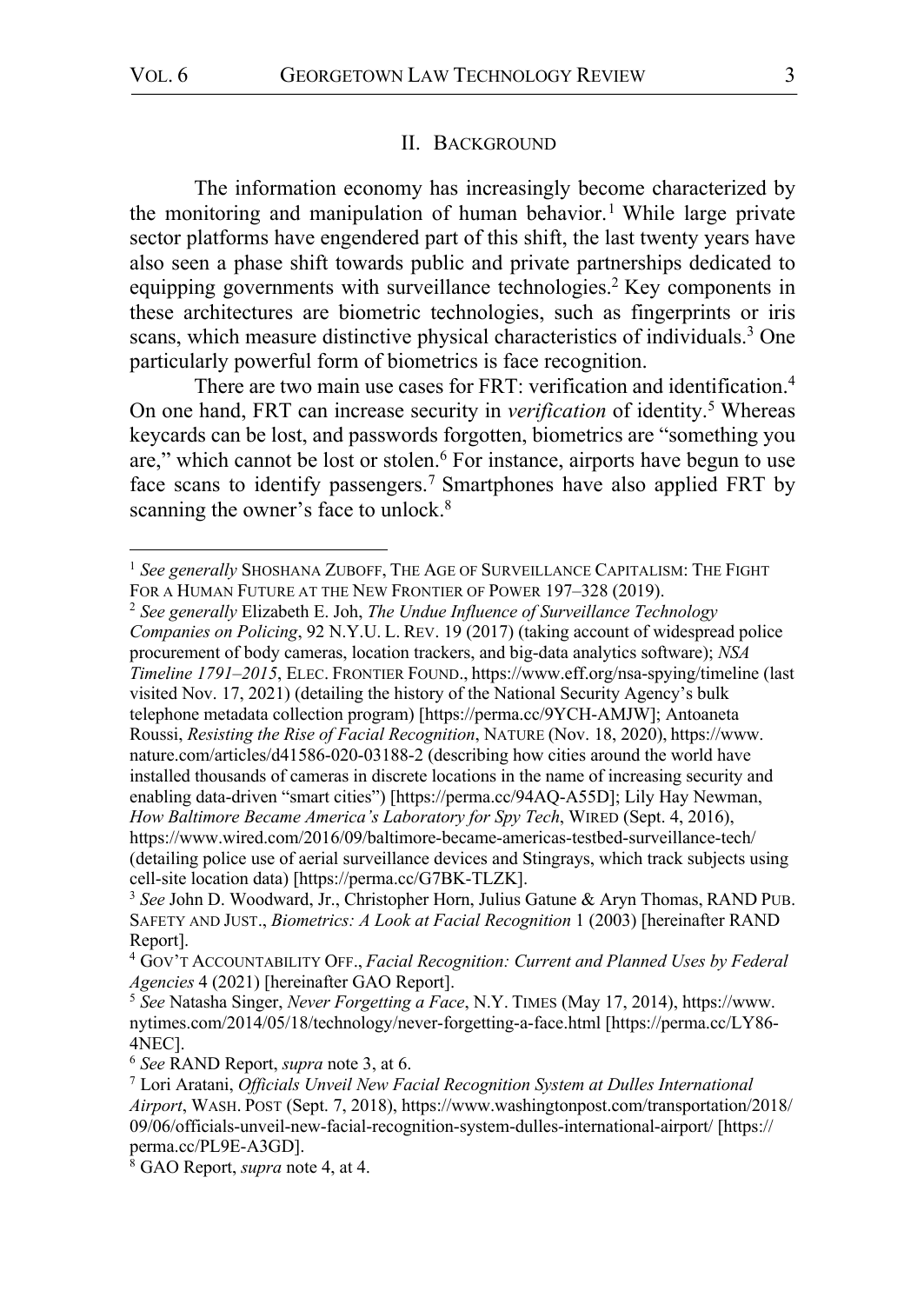#### II. BACKGROUND

The information economy has increasingly become characterized by the monitoring and manipulation of human behavior.<sup>1</sup> While large private sector platforms have engendered part of this shift, the last twenty years have also seen a phase shift towards public and private partnerships dedicated to equipping governments with surveillance technologies.2 Key components in these architectures are biometric technologies, such as fingerprints or iris scans, which measure distinctive physical characteristics of individuals.<sup>3</sup> One particularly powerful form of biometrics is face recognition.

There are two main use cases for FRT: verification and identification.<sup>4</sup> On one hand, FRT can increase security in *verification* of identity.<sup>5</sup> Whereas keycards can be lost, and passwords forgotten, biometrics are "something you are," which cannot be lost or stolen.<sup>6</sup> For instance, airports have begun to use face scans to identify passengers.<sup>7</sup> Smartphones have also applied FRT by scanning the owner's face to unlock.<sup>8</sup>

<sup>2</sup> *See generally* Elizabeth E. Joh, *The Undue Influence of Surveillance Technology Companies on Policing*, 92 N.Y.U. L. REV. 19 (2017) (taking account of widespread police procurement of body cameras, location trackers, and big-data analytics software); *NSA Timeline 1791–2015*, ELEC. FRONTIER FOUND., https://www.eff.org/nsa-spying/timeline (last visited Nov. 17, 2021) (detailing the history of the National Security Agency's bulk telephone metadata collection program) [https://perma.cc/9YCH-AMJW]; Antoaneta Roussi, *Resisting the Rise of Facial Recognition*, NATURE (Nov. 18, 2020), https://www. nature.com/articles/d41586-020-03188-2 (describing how cities around the world have installed thousands of cameras in discrete locations in the name of increasing security and enabling data-driven "smart cities") [https://perma.cc/94AQ-A55D]; Lily Hay Newman, *How Baltimore Became America's Laboratory for Spy Tech*, WIRED (Sept. 4, 2016), https://www.wired.com/2016/09/baltimore-became-americas-testbed-surveillance-tech/ (detailing police use of aerial surveillance devices and Stingrays, which track subjects using cell-site location data) [https://perma.cc/G7BK-TLZK].

<sup>&</sup>lt;sup>1</sup> See generally SHOSHANA ZUBOFF, THE AGE OF SURVEILLANCE CAPITALISM: THE FIGHT FOR A HUMAN FUTURE AT THE NEW FRONTIER OF POWER 197-328 (2019).

<sup>3</sup> *See* John D. Woodward, Jr., Christopher Horn, Julius Gatune & Aryn Thomas, RAND PUB. SAFETY AND JUST., *Biometrics: A Look at Facial Recognition* 1 (2003) [hereinafter RAND Report].

<sup>4</sup> GOV'T ACCOUNTABILITY OFF., *Facial Recognition: Current and Planned Uses by Federal Agencies* 4 (2021) [hereinafter GAO Report].

<sup>5</sup> *See* Natasha Singer, *Never Forgetting a Face*, N.Y. TIMES (May 17, 2014), https://www. nytimes.com/2014/05/18/technology/never-forgetting-a-face.html [https://perma.cc/LY86- 4NEC]. 6 *See* RAND Report, *supra* note 3, at 6.

<sup>7</sup> Lori Aratani, *Officials Unveil New Facial Recognition System at Dulles International Airport*, WASH. POST (Sept. 7, 2018), https://www.washingtonpost.com/transportation/2018/ 09/06/officials-unveil-new-facial-recognition-system-dulles-international-airport/ [https:// perma.cc/PL9E-A3GD]. 8 GAO Report, *supra* note 4, at 4.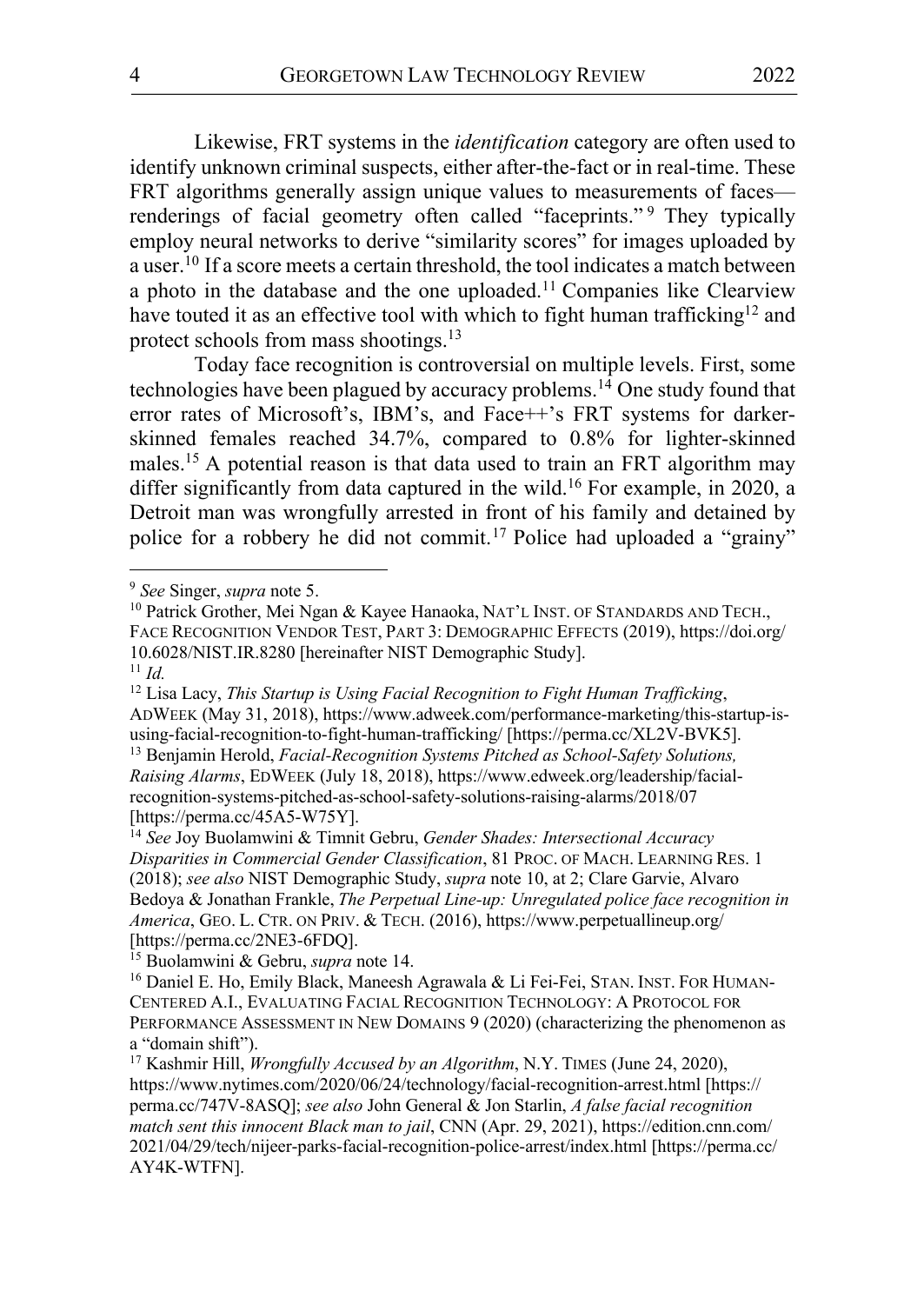Likewise, FRT systems in the *identification* category are often used to identify unknown criminal suspects, either after-the-fact or in real-time. These FRT algorithms generally assign unique values to measurements of faces renderings of facial geometry often called "faceprints."<sup>9</sup> They typically employ neural networks to derive "similarity scores" for images uploaded by a user.<sup>10</sup> If a score meets a certain threshold, the tool indicates a match between a photo in the database and the one uploaded.<sup>11</sup> Companies like Clearview have touted it as an effective tool with which to fight human trafficking<sup>12</sup> and protect schools from mass shootings.<sup>13</sup>

Today face recognition is controversial on multiple levels. First, some technologies have been plagued by accuracy problems.<sup>14</sup> One study found that error rates of Microsoft's, IBM's, and Face++'s FRT systems for darkerskinned females reached 34.7%, compared to 0.8% for lighter-skinned males.<sup>15</sup> A potential reason is that data used to train an FRT algorithm may differ significantly from data captured in the wild. <sup>16</sup> For example, in 2020, a Detroit man was wrongfully arrested in front of his family and detained by police for a robbery he did not commit.17 Police had uploaded a "grainy"

<sup>12</sup> Lisa Lacy, *This Startup is Using Facial Recognition to Fight Human Trafficking*, ADWEEK (May 31, 2018), https://www.adweek.com/performance-marketing/this-startup-isusing-facial-recognition-to-fight-human-trafficking/ [https://perma.cc/XL2V-BVK5]. <sup>13</sup> Benjamin Herold, *Facial-Recognition Systems Pitched as School-Safety Solutions, Raising Alarms*, EDWEEK (July 18, 2018), https://www.edweek.org/leadership/facialrecognition-systems-pitched-as-school-safety-solutions-raising-alarms/2018/07 [https://perma.cc/45A5-W75Y].

<sup>14</sup> *See* Joy Buolamwini & Timnit Gebru, *Gender Shades: Intersectional Accuracy Disparities in Commercial Gender Classification*, 81 PROC. OF MACH. LEARNING RES. 1 (2018); *see also* NIST Demographic Study, *supra* note 10, at 2; Clare Garvie, Alvaro Bedoya & Jonathan Frankle, *The Perpetual Line-up: Unregulated police face recognition in America*, GEO. L. CTR. ON PRIV. & TECH. (2016), https://www.perpetuallineup.org/ [https://perma.cc/2NE3-6FDQ].

<sup>15</sup> Buolamwini & Gebru, *supra* note 14.<br><sup>16</sup> Daniel E. Ho, Emily Black, Maneesh Agrawala & Li Fei-Fei, STAN. INST. FOR HUMAN-CENTERED A.I., EVALUATING FACIAL RECOGNITION TECHNOLOGY: A PROTOCOL FOR PERFORMANCE ASSESSMENT IN NEW DOMAINS 9 (2020) (characterizing the phenomenon as a "domain shift").

<sup>17</sup> Kashmir Hill, *Wrongfully Accused by an Algorithm*, N.Y. TIMES (June 24, 2020), https://www.nytimes.com/2020/06/24/technology/facial-recognition-arrest.html [https:// perma.cc/747V-8ASQ]; *see also* John General & Jon Starlin, *A false facial recognition match sent this innocent Black man to jail*, CNN (Apr. 29, 2021), https://edition.cnn.com/ 2021/04/29/tech/nijeer-parks-facial-recognition-police-arrest/index.html [https://perma.cc/ AY4K-WTFN].

 <sup>9</sup> *See* Singer, *supra* note 5.

<sup>&</sup>lt;sup>10</sup> Patrick Grother, Mei Ngan & Kayee Hanaoka, NAT'L INST. OF STANDARDS AND TECH., FACE RECOGNITION VENDOR TEST, PART 3: DEMOGRAPHIC EFFECTS (2019), https://doi.org/ 10.6028/NIST.IR.8280 [hereinafter NIST Demographic Study].  $11$  *Id.*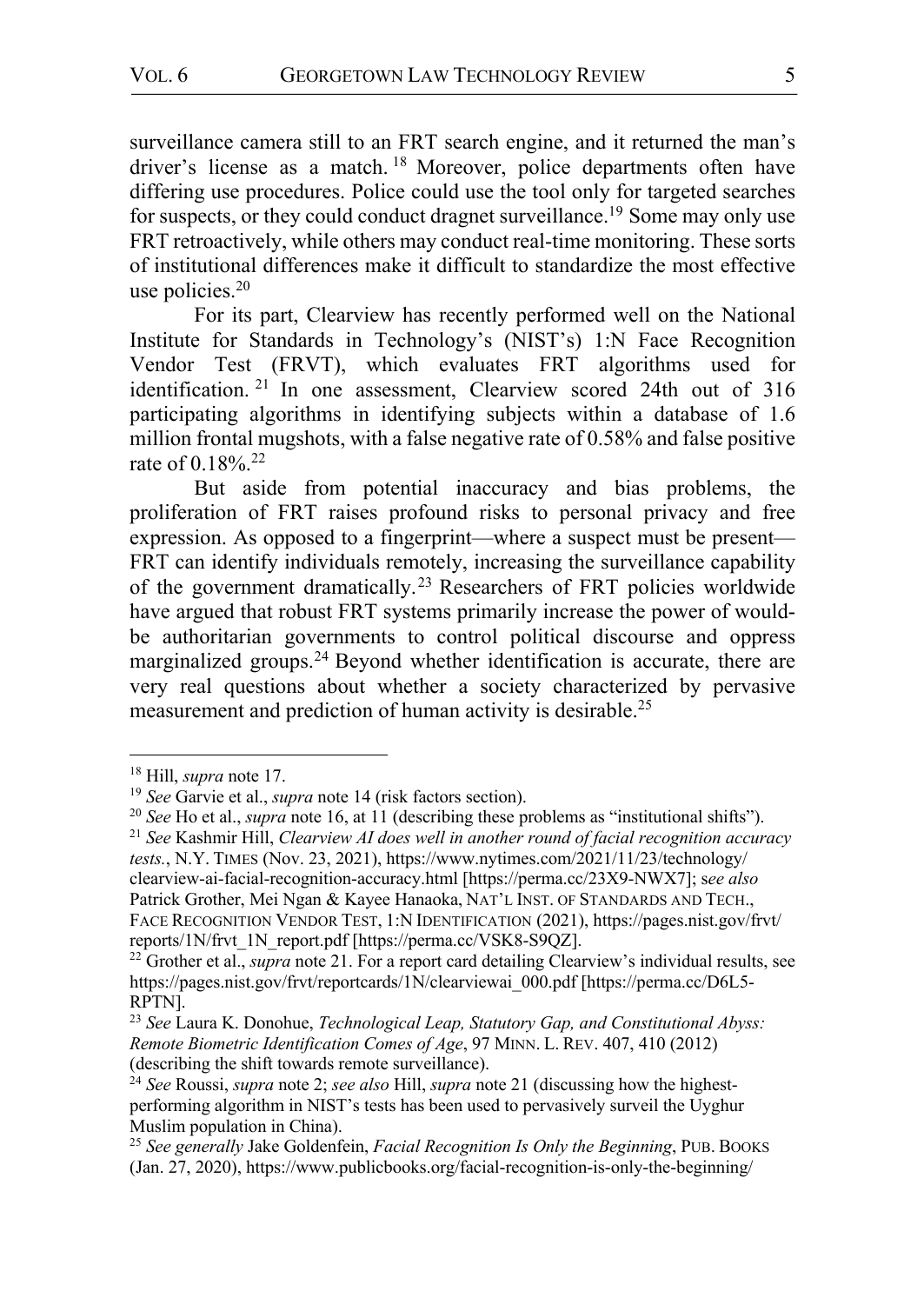surveillance camera still to an FRT search engine, and it returned the man's driver's license as a match. <sup>18</sup> Moreover, police departments often have differing use procedures. Police could use the tool only for targeted searches for suspects, or they could conduct dragnet surveillance.<sup>19</sup> Some may only use FRT retroactively, while others may conduct real-time monitoring. These sorts of institutional differences make it difficult to standardize the most effective use policies.20

For its part, Clearview has recently performed well on the National Institute for Standards in Technology's (NIST's) 1:N Face Recognition Vendor Test (FRVT), which evaluates FRT algorithms used for identification. <sup>21</sup> In one assessment, Clearview scored 24th out of 316 participating algorithms in identifying subjects within a database of 1.6 million frontal mugshots, with a false negative rate of 0.58% and false positive rate of  $0.18\%$ <sup>22</sup>

But aside from potential inaccuracy and bias problems, the proliferation of FRT raises profound risks to personal privacy and free expression. As opposed to a fingerprint—where a suspect must be present— FRT can identify individuals remotely, increasing the surveillance capability of the government dramatically.23 Researchers of FRT policies worldwide have argued that robust FRT systems primarily increase the power of wouldbe authoritarian governments to control political discourse and oppress marginalized groups.<sup>24</sup> Beyond whether identification is accurate, there are very real questions about whether a society characterized by pervasive measurement and prediction of human activity is desirable.<sup>25</sup>

<sup>&</sup>lt;sup>18</sup> Hill, *supra* note 17.<br><sup>19</sup> *See* Garvie et al., *supra* note 14 (risk factors section).<br><sup>20</sup> *See* Ho et al., *supra* note 16, at 11 (describing these problems as "institutional shifts").

<sup>21</sup> *See* Kashmir Hill, *Clearview AI does well in another round of facial recognition accuracy tests.*, N.Y. TIMES (Nov. 23, 2021), https://www.nytimes.com/2021/11/23/technology/ clearview-ai-facial-recognition-accuracy.html [https://perma.cc/23X9-NWX7]; s*ee also* Patrick Grother, Mei Ngan & Kayee Hanaoka, NAT'L INST. OF STANDARDS AND TECH., FACE RECOGNITION VENDOR TEST, 1:N IDENTIFICATION (2021), https://pages.nist.gov/frvt/<br>reports/1N/frvt 1N report.pdf [https://perma.cc/VSK8-S9QZ].

<sup>&</sup>lt;sup>22</sup> Grother et al., *supra* note 21. For a report card detailing Clearview's individual results, see https://pages.nist.gov/frvt/reportcards/1N/clearviewai\_000.pdf [https://perma.cc/D6L5- RPTN].

<sup>23</sup> *See* Laura K. Donohue, *Technological Leap, Statutory Gap, and Constitutional Abyss: Remote Biometric Identification Comes of Age*, 97 MINN. L. REV. 407, 410 (2012) (describing the shift towards remote surveillance).

<sup>24</sup> *See* Roussi, *supra* note 2; *see also* Hill, *supra* note 21 (discussing how the highestperforming algorithm in NIST's tests has been used to pervasively surveil the Uyghur Muslim population in China).

<sup>25</sup> *See generally* Jake Goldenfein, *Facial Recognition Is Only the Beginning*, PUB. BOOKS (Jan. 27, 2020), https://www.publicbooks.org/facial-recognition-is-only-the-beginning/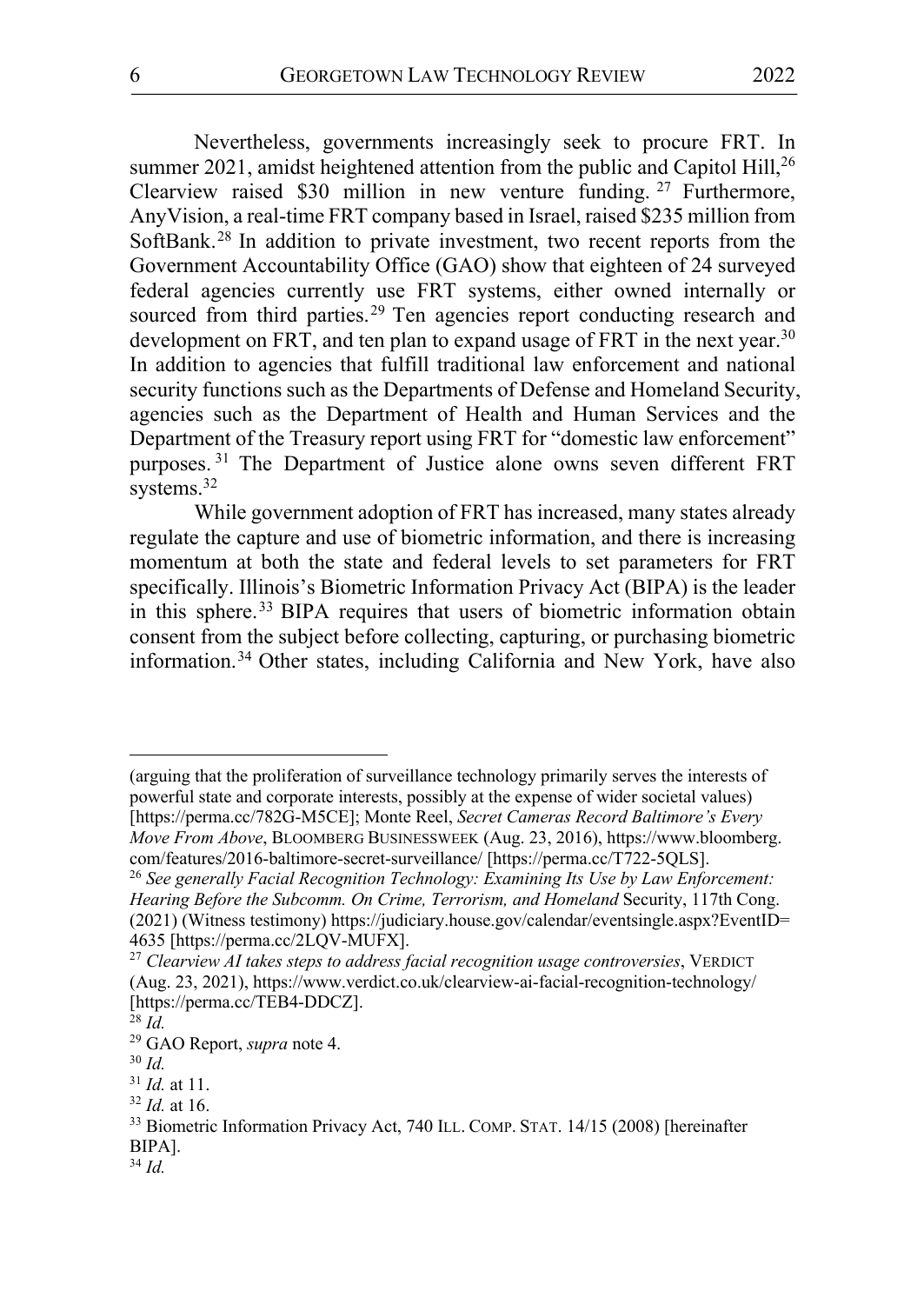Nevertheless, governments increasingly seek to procure FRT. In summer 2021, amidst heightened attention from the public and Capitol Hill,<sup>26</sup> Clearview raised \$30 million in new venture funding. <sup>27</sup> Furthermore, AnyVision, a real-time FRT company based in Israel, raised \$235 million from SoftBank.28 In addition to private investment, two recent reports from the Government Accountability Office (GAO) show that eighteen of 24 surveyed federal agencies currently use FRT systems, either owned internally or sourced from third parties.<sup>29</sup> Ten agencies report conducting research and development on FRT, and ten plan to expand usage of FRT in the next year.<sup>30</sup> In addition to agencies that fulfill traditional law enforcement and national security functions such as the Departments of Defense and Homeland Security, agencies such as the Department of Health and Human Services and the Department of the Treasury report using FRT for "domestic law enforcement" purposes. <sup>31</sup> The Department of Justice alone owns seven different FRT systems.<sup>32</sup>

While government adoption of FRT has increased, many states already regulate the capture and use of biometric information, and there is increasing momentum at both the state and federal levels to set parameters for FRT specifically. Illinois's Biometric Information Privacy Act (BIPA) is the leader in this sphere.<sup>33</sup> BIPA requires that users of biometric information obtain consent from the subject before collecting, capturing, or purchasing biometric information.34 Other states, including California and New York, have also

(arguing that the proliferation of surveillance technology primarily serves the interests of powerful state and corporate interests, possibly at the expense of wider societal values) [https://perma.cc/782G-M5CE]; Monte Reel, *Secret Cameras Record Baltimore's Every Move From Above*, BLOOMBERG BUSINESSWEEK (Aug. 23, 2016), https://www.bloomberg. com/features/2016-baltimore-secret-surveillance/ [https://perma.cc/T722-5QLS]. 26 *See generally Facial Recognition Technology: Examining Its Use by Law Enforcement:* 

 $\overline{a}$ 

*Hearing Before the Subcomm. On Crime, Terrorism, and Homeland* Security, 117th Cong. (2021) (Witness testimony) https://judiciary.house.gov/calendar/eventsingle.aspx?EventID=<br>4635 [https://perma.cc/2LQV-MUFX].

<sup>&</sup>lt;sup>27</sup> Clearview AI takes steps to address facial recognition usage controversies, VERDICT (Aug. 23, 2021), https://www.verdict.co.uk/clearview-ai-facial-recognition-technology/ [https://perma.cc/TEB4-DDCZ].

<sup>28</sup> *Id.*

<sup>29</sup> GAO Report, *supra* note 4. 30 *Id.*

<sup>31</sup> *Id.* at 11.

<sup>&</sup>lt;sup>32</sup> *Id.* at 16.<br><sup>33</sup> Biometric Information Privacy Act, 740 ILL. COMP. STAT. 14/15 (2008) [hereinafter BIPA].

<sup>34</sup> *Id.*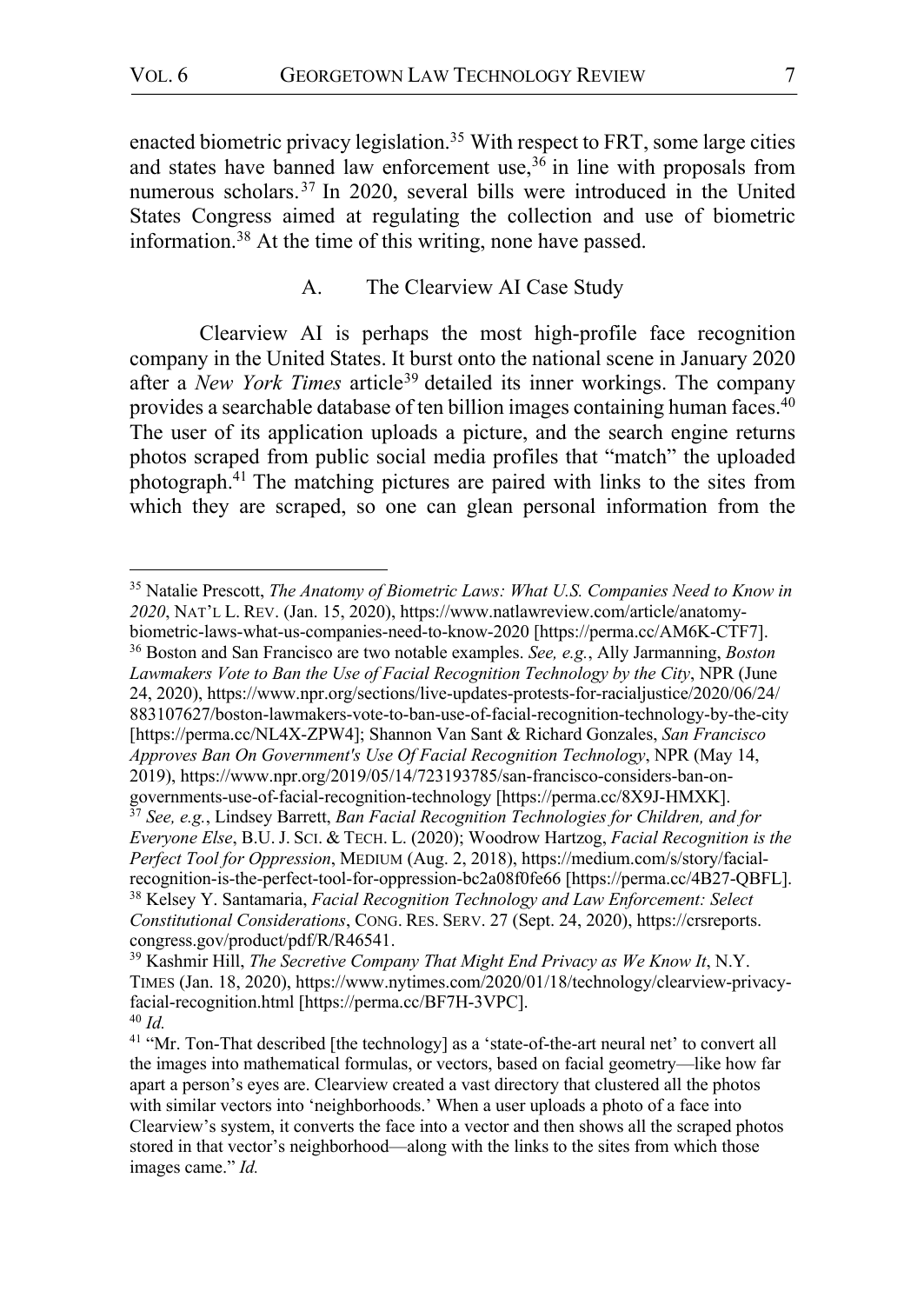enacted biometric privacy legislation.<sup>35</sup> With respect to FRT, some large cities and states have banned law enforcement use,  $36$  in line with proposals from numerous scholars.<sup>37</sup> In 2020, several bills were introduced in the United States Congress aimed at regulating the collection and use of biometric information.38 At the time of this writing, none have passed.

## A. The Clearview AI Case Study

Clearview AI is perhaps the most high-profile face recognition company in the United States. It burst onto the national scene in January 2020 after a *New York Times* article<sup>39</sup> detailed its inner workings. The company provides a searchable database of ten billion images containing human faces.<sup>40</sup> The user of its application uploads a picture, and the search engine returns photos scraped from public social media profiles that "match" the uploaded photograph.41 The matching pictures are paired with links to the sites from which they are scraped, so one can glean personal information from the

biometric-laws-what-us-companies-need-to-know-2020 [https://perma.cc/AM6K-CTF7]. <sup>36</sup> Boston and San Francisco are two notable examples. *See, e.g.*, Ally Jarmanning, *Boston Lawmakers Vote to Ban the Use of Facial Recognition Technology by the City*, NPR (June 24, 2020), https://www.npr.org/sections/live-updates-protests-for-racialjustice/2020/06/24/ 883107627/boston-lawmakers-vote-to-ban-use-of-facial-recognition-technology-by-the-city [https://perma.cc/NL4X-ZPW4]; Shannon Van Sant & Richard Gonzales, *San Francisco Approves Ban On Government's Use Of Facial Recognition Technology*, NPR (May 14, 2019), https://www.npr.org/2019/05/14/723193785/san-francisco-considers-ban-ongovernments-use-of-facial-recognition-technology [https://perma.cc/8X9J-HMXK].

 <sup>35</sup> Natalie Prescott, *The Anatomy of Biometric Laws: What U.S. Companies Need to Know in 2020*, NAT'L L. REV. (Jan. 15, 2020), https://www.natlawreview.com/article/anatomy-

<sup>37</sup> *See, e.g.*, Lindsey Barrett, *Ban Facial Recognition Technologies for Children, and for Everyone Else*, B.U. J. SCI. & TECH. L. (2020); Woodrow Hartzog, *Facial Recognition is the Perfect Tool for Oppression*, MEDIUM (Aug. 2, 2018), https://medium.com/s/story/facialrecognition-is-the-perfect-tool-for-oppression-bc2a08f0fe66 [https://perma.cc/4B27-QBFL]. 38 Kelsey Y. Santamaria, *Facial Recognition Technology and Law Enforcement: Select Constitutional Considerations*, CONG. RES. SERV. 27 (Sept. 24, 2020), https://crsreports. congress.gov/product/pdf/R/R46541.

<sup>&</sup>lt;sup>39</sup> Kashmir Hill, *The Secretive Company That Might End Privacy as We Know It*, N.Y. TIMES (Jan. 18, 2020), https://www.nytimes.com/2020/01/18/technology/clearview-privacyfacial-recognition.html [https://perma.cc/BF7H-3VPC]. 40 *Id.*

<sup>&</sup>lt;sup>41</sup> "Mr. Ton-That described [the technology] as a 'state-of-the-art neural net' to convert all the images into mathematical formulas, or vectors, based on facial geometry—like how far apart a person's eyes are. Clearview created a vast directory that clustered all the photos with similar vectors into 'neighborhoods.' When a user uploads a photo of a face into Clearview's system, it converts the face into a vector and then shows all the scraped photos stored in that vector's neighborhood—along with the links to the sites from which those images came." *Id.*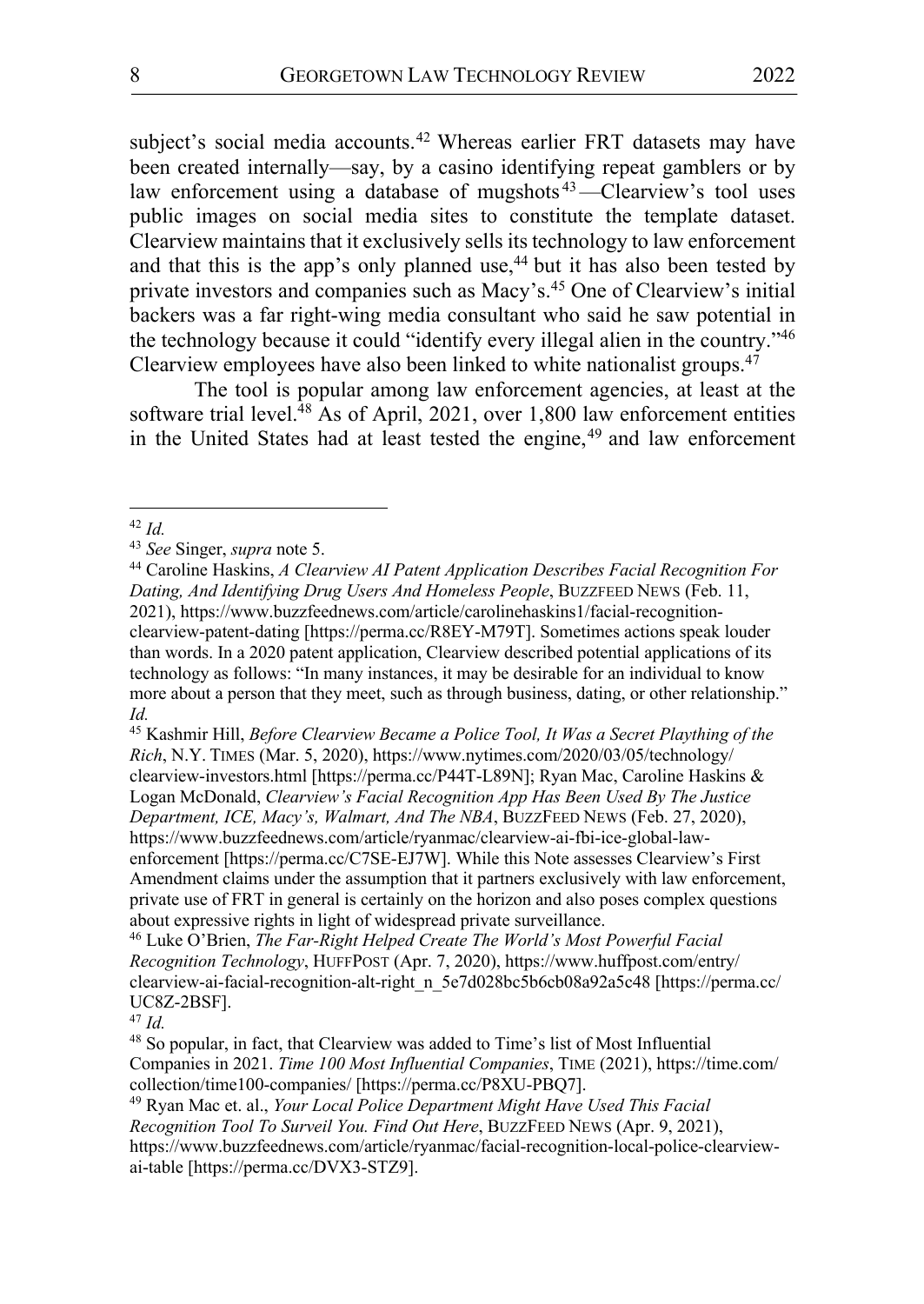subject's social media accounts.<sup>42</sup> Whereas earlier FRT datasets may have been created internally—say, by a casino identifying repeat gamblers or by law enforcement using a database of mugshots<sup>43</sup>—Clearview's tool uses public images on social media sites to constitute the template dataset. Clearview maintains that it exclusively sells its technology to law enforcement and that this is the app's only planned use, $44$  but it has also been tested by private investors and companies such as Macy's.45 One of Clearview's initial backers was a far right-wing media consultant who said he saw potential in the technology because it could "identify every illegal alien in the country."46 Clearview employees have also been linked to white nationalist groups.<sup>47</sup>

The tool is popular among law enforcement agencies, at least at the software trial level.<sup>48</sup> As of April, 2021, over 1,800 law enforcement entities in the United States had at least tested the engine, $49$  and law enforcement

<sup>45</sup> Kashmir Hill, *Before Clearview Became a Police Tool, It Was a Secret Plaything of the Rich*, N.Y. TIMES (Mar. 5, 2020), https://www.nytimes.com/2020/03/05/technology/ clearview-investors.html [https://perma.cc/P44T-L89N]; Ryan Mac, Caroline Haskins & Logan McDonald, *Clearview's Facial Recognition App Has Been Used By The Justice Department, ICE, Macy's, Walmart, And The NBA*, BUZZFEED NEWS (Feb. 27, 2020), https://www.buzzfeednews.com/article/ryanmac/clearview-ai-fbi-ice-global-lawenforcement [https://perma.cc/C7SE-EJ7W]. While this Note assesses Clearview's First Amendment claims under the assumption that it partners exclusively with law enforcement, private use of FRT in general is certainly on the horizon and also poses complex questions about expressive rights in light of widespread private surveillance.

<sup>46</sup> Luke O'Brien, *The Far-Right Helped Create The World's Most Powerful Facial Recognition Technology*, HUFFPOST (Apr. 7, 2020), https://www.huffpost.com/entry/ clearview-ai-facial-recognition-alt-right\_n\_5e7d028bc5b6cb08a92a5c48 [https://perma.cc/ UC8Z-2BSF]. 47 *Id.*

<sup>48</sup> So popular, in fact, that Clearview was added to Time's list of Most Influential Companies in 2021. *Time 100 Most Influential Companies*, TIME (2021), https://time.com/ collection/time100-companies/ [https://perma.cc/P8XU-PBQ7].

<sup>49</sup> Ryan Mac et. al., *Your Local Police Department Might Have Used This Facial Recognition Tool To Surveil You. Find Out Here*, BUZZFEED NEWS (Apr. 9, 2021), https://www.buzzfeednews.com/article/ryanmac/facial-recognition-local-police-clearviewai-table [https://perma.cc/DVX3-STZ9].

<sup>&</sup>lt;sup>42</sup> *Id.* See Singer, *supra* note 5.

<sup>&</sup>lt;sup>44</sup> Caroline Haskins, *A Clearview AI Patent Application Describes Facial Recognition For Dating, And Identifying Drug Users And Homeless People*, BUZZFEED NEWS (Feb. 11, 2021), https://www.buzzfeednews.com/article/carolinehaskins1/facial-recognitionclearview-patent-dating [https://perma.cc/R8EY-M79T]. Sometimes actions speak louder than words. In a 2020 patent application, Clearview described potential applications of its technology as follows: "In many instances, it may be desirable for an individual to know more about a person that they meet, such as through business, dating, or other relationship." *Id.*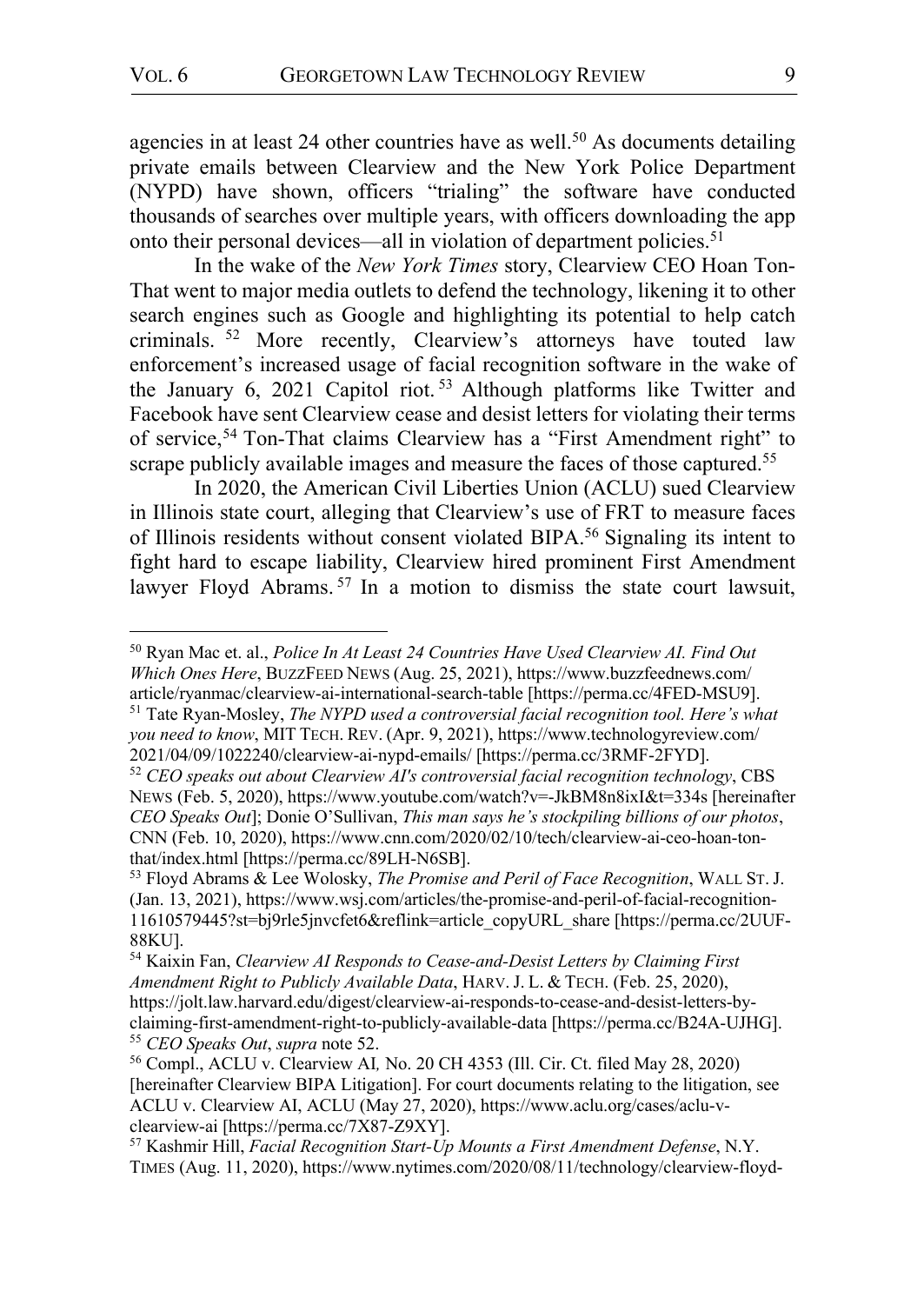In the wake of the *New York Times* story, Clearview CEO Hoan Ton-That went to major media outlets to defend the technology, likening it to other search engines such as Google and highlighting its potential to help catch criminals. <sup>52</sup> More recently, Clearview's attorneys have touted law enforcement's increased usage of facial recognition software in the wake of the January 6, 2021 Capitol riot. <sup>53</sup> Although platforms like Twitter and Facebook have sent Clearview cease and desist letters for violating their terms of service,<sup>54</sup> Ton-That claims Clearview has a "First Amendment right" to scrape publicly available images and measure the faces of those captured.<sup>55</sup>

In 2020, the American Civil Liberties Union (ACLU) sued Clearview in Illinois state court, alleging that Clearview's use of FRT to measure faces of Illinois residents without consent violated BIPA.56 Signaling its intent to fight hard to escape liability, Clearview hired prominent First Amendment lawyer Floyd Abrams.<sup>57</sup> In a motion to dismiss the state court lawsuit,

*you need to know*, MIT TECH. REV. (Apr. 9, 2021), https://www.technologyreview.com/ 2021/04/09/1022240/clearview-ai-nypd-emails/ [https://perma.cc/3RMF-2FYD].

 <sup>50</sup> Ryan Mac et. al., *Police In At Least 24 Countries Have Used Clearview AI. Find Out Which Ones Here*, BUZZFEED NEWS (Aug. 25, 2021), https://www.buzzfeednews.com/ article/ryanmac/clearview-ai-international-search-table [https://perma.cc/4FED-MSU9]. <sup>51</sup> Tate Ryan-Mosley, *The NYPD used a controversial facial recognition tool. Here's what* 

<sup>52</sup> *CEO speaks out about Clearview AI's controversial facial recognition technology*, CBS NEWS (Feb. 5, 2020), https://www.youtube.com/watch?v=-JkBM8n8ixI&t=334s [hereinafter *CEO Speaks Out*]; Donie O'Sullivan, *This man says he's stockpiling billions of our photos*, CNN (Feb. 10, 2020), https://www.cnn.com/2020/02/10/tech/clearview-ai-ceo-hoan-tonthat/index.html [https://perma.cc/89LH-N6SB].

<sup>53</sup> Floyd Abrams & Lee Wolosky, *The Promise and Peril of Face Recognition*, WALL ST. J. (Jan. 13, 2021), https://www.wsj.com/articles/the-promise-and-peril-of-facial-recognition-11610579445?st=bj9rle5jnvcfet6&reflink=article\_copyURL\_share [https://perma.cc/2UUF-88KU].

<sup>54</sup> Kaixin Fan, *Clearview AI Responds to Cease-and-Desist Letters by Claiming First Amendment Right to Publicly Available Data*, HARV. J. L. & TECH. (Feb. 25, 2020), https://jolt.law.harvard.edu/digest/clearview-ai-responds-to-cease-and-desist-letters-byclaiming-first-amendment-right-to-publicly-available-data [https://perma.cc/B24A-UJHG]. 55 *CEO Speaks Out*, *supra* note 52.

<sup>56</sup> Compl., ACLU v. Clearview AI*,* No. 20 CH 4353 (Ill. Cir. Ct. filed May 28, 2020) [hereinafter Clearview BIPA Litigation]. For court documents relating to the litigation, see ACLU v. Clearview AI, ACLU (May 27, 2020), https://www.aclu.org/cases/aclu-vclearview-ai [https://perma.cc/7X87-Z9XY].

<sup>57</sup> Kashmir Hill, *Facial Recognition Start-Up Mounts a First Amendment Defense*, N.Y. TIMES (Aug. 11, 2020), https://www.nytimes.com/2020/08/11/technology/clearview-floyd-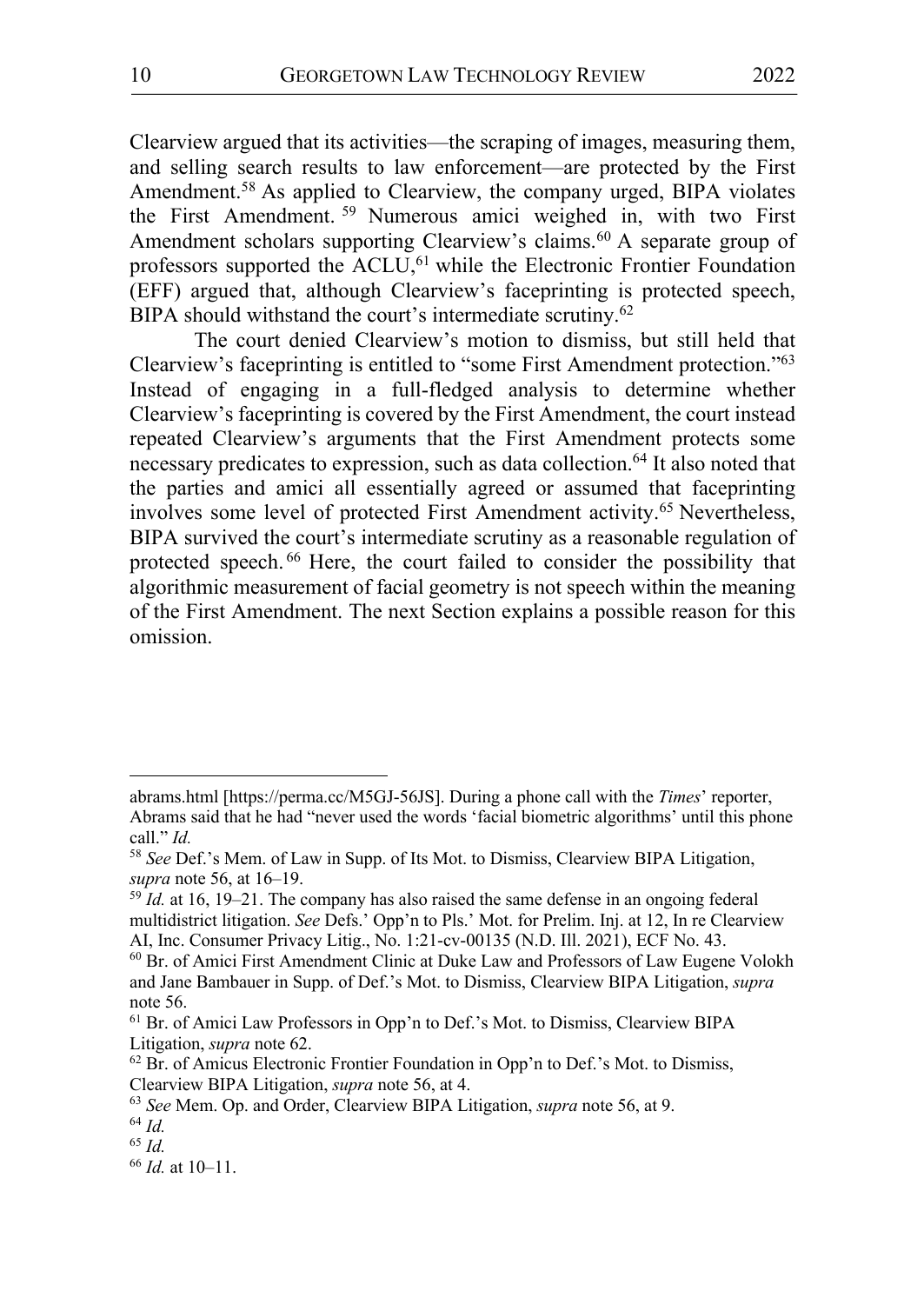Clearview argued that its activities—the scraping of images, measuring them, and selling search results to law enforcement—are protected by the First Amendment.<sup>58</sup> As applied to Clearview, the company urged, BIPA violates the First Amendment. <sup>59</sup> Numerous amici weighed in, with two First Amendment scholars supporting Clearview's claims. <sup>60</sup> A separate group of professors supported the ACLU,<sup>61</sup> while the Electronic Frontier Foundation (EFF) argued that, although Clearview's faceprinting is protected speech, BIPA should withstand the court's intermediate scrutiny.<sup>62</sup>

The court denied Clearview's motion to dismiss, but still held that Clearview's faceprinting is entitled to "some First Amendment protection."63 Instead of engaging in a full-fledged analysis to determine whether Clearview's faceprinting is covered by the First Amendment, the court instead repeated Clearview's arguments that the First Amendment protects some necessary predicates to expression, such as data collection.<sup>64</sup> It also noted that the parties and amici all essentially agreed or assumed that faceprinting involves some level of protected First Amendment activity.65 Nevertheless, BIPA survived the court's intermediate scrutiny as a reasonable regulation of protected speech. <sup>66</sup> Here, the court failed to consider the possibility that algorithmic measurement of facial geometry is not speech within the meaning of the First Amendment. The next Section explains a possible reason for this omission.

abrams.html [https://perma.cc/M5GJ-56JS]. During a phone call with the *Times*' reporter, Abrams said that he had "never used the words 'facial biometric algorithms' until this phone call." *Id.*

<sup>58</sup> *See* Def.'s Mem. of Law in Supp. of Its Mot. to Dismiss, Clearview BIPA Litigation, *supra* note 56, at 16–19.<br><sup>59</sup> *Id.* at 16, 19–21. The company has also raised the same defense in an ongoing federal

multidistrict litigation. *See* Defs.' Opp'n to Pls.' Mot. for Prelim. Inj. at 12, In re Clearview AI, Inc. Consumer Privacy Litig., No. 1:21-cv-00135 (N.D. Ill. 2021), ECF No. 43.

<sup>60</sup> Br. of Amici First Amendment Clinic at Duke Law and Professors of Law Eugene Volokh and Jane Bambauer in Supp. of Def.'s Mot. to Dismiss, Clearview BIPA Litigation, *supra* note 56.

<sup>61</sup> Br. of Amici Law Professors in Opp'n to Def.'s Mot. to Dismiss, Clearview BIPA Litigation, *supra* note 62.<br><sup>62</sup> Br. of Amicus Electronic Frontier Foundation in Opp'n to Def.'s Mot. to Dismiss,

Clearview BIPA Litigation, *supra* note 56, at 4.

<sup>63</sup> *See* Mem. Op. and Order, Clearview BIPA Litigation, *supra* note 56, at 9.

<sup>64</sup> *Id.*

<sup>65</sup> *Id.*

<sup>66</sup> *Id.* at 10–11.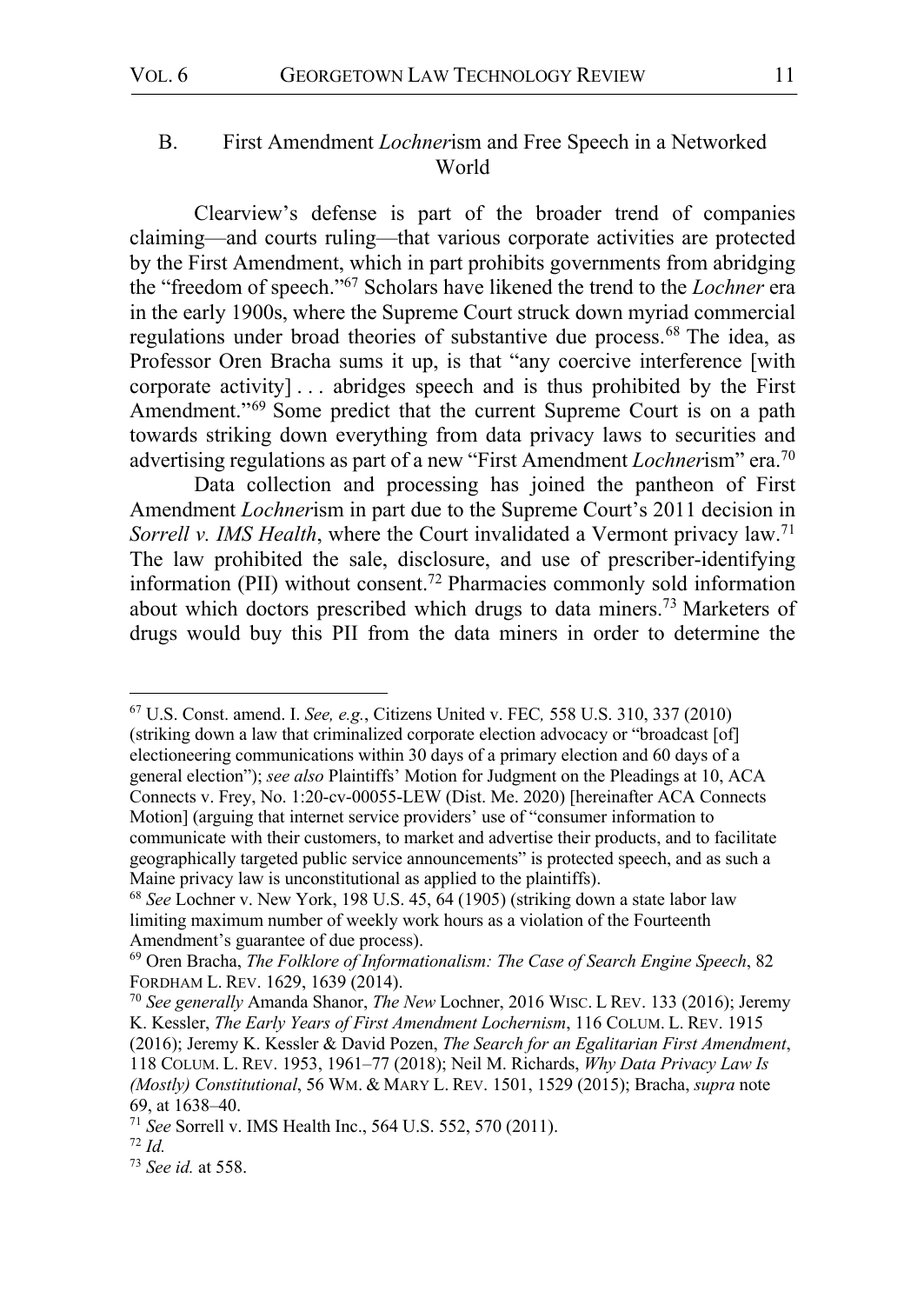# B. First Amendment *Lochner*ism and Free Speech in a Networked World

Clearview's defense is part of the broader trend of companies claiming—and courts ruling—that various corporate activities are protected by the First Amendment, which in part prohibits governments from abridging the "freedom of speech."67 Scholars have likened the trend to the *Lochner* era in the early 1900s, where the Supreme Court struck down myriad commercial regulations under broad theories of substantive due process.<sup>68</sup> The idea, as Professor Oren Bracha sums it up, is that "any coercive interference [with corporate activity] . . . abridges speech and is thus prohibited by the First Amendment."<sup>69</sup> Some predict that the current Supreme Court is on a path towards striking down everything from data privacy laws to securities and advertising regulations as part of a new "First Amendment *Lochner*ism" era.70

Data collection and processing has joined the pantheon of First Amendment *Lochner*ism in part due to the Supreme Court's 2011 decision in *Sorrell v. IMS Health*, where the Court invalidated a Vermont privacy law.<sup>71</sup> The law prohibited the sale, disclosure, and use of prescriber-identifying information (PII) without consent.72 Pharmacies commonly sold information about which doctors prescribed which drugs to data miners.73 Marketers of drugs would buy this PII from the data miners in order to determine the

 67 U.S. Const. amend. I. *See, e.g.*, Citizens United v. FEC*,* 558 U.S. 310, 337 (2010) (striking down a law that criminalized corporate election advocacy or "broadcast [of] electioneering communications within 30 days of a primary election and 60 days of a general election"); *see also* Plaintiffs' Motion for Judgment on the Pleadings at 10, ACA Connects v. Frey, No. 1:20-cv-00055-LEW (Dist. Me. 2020) [hereinafter ACA Connects Motion] (arguing that internet service providers' use of "consumer information to communicate with their customers, to market and advertise their products, and to facilitate geographically targeted public service announcements" is protected speech, and as such a Maine privacy law is unconstitutional as applied to the plaintiffs).

<sup>68</sup> *See* Lochner v. New York, 198 U.S. 45, 64 (1905) (striking down a state labor law limiting maximum number of weekly work hours as a violation of the Fourteenth Amendment's guarantee of due process).

<sup>69</sup> Oren Bracha, *The Folklore of Informationalism: The Case of Search Engine Speech*, 82

<sup>&</sup>lt;sup>70</sup> See generally Amanda Shanor, *The New* Lochner, 2016 WISC. L REV. 133 (2016); Jeremy K. Kessler, *The Early Years of First Amendment Lochernism*, 116 COLUM. L. REV. 1915 (2016); Jeremy K. Kessler & David Pozen, *The Search for an Egalitarian First Amendment*, 118 COLUM. L. REV. 1953, 1961–77 (2018); Neil M. Richards, *Why Data Privacy Law Is (Mostly) Constitutional*, 56 WM. & MARY L. REV. 1501, 1529 (2015); Bracha, *supra* note 69, at 1638–40.

<sup>71</sup> *See* Sorrell v. IMS Health Inc., 564 U.S. 552, 570 (2011). <sup>72</sup> *Id.*

<sup>73</sup> *See id.* at 558.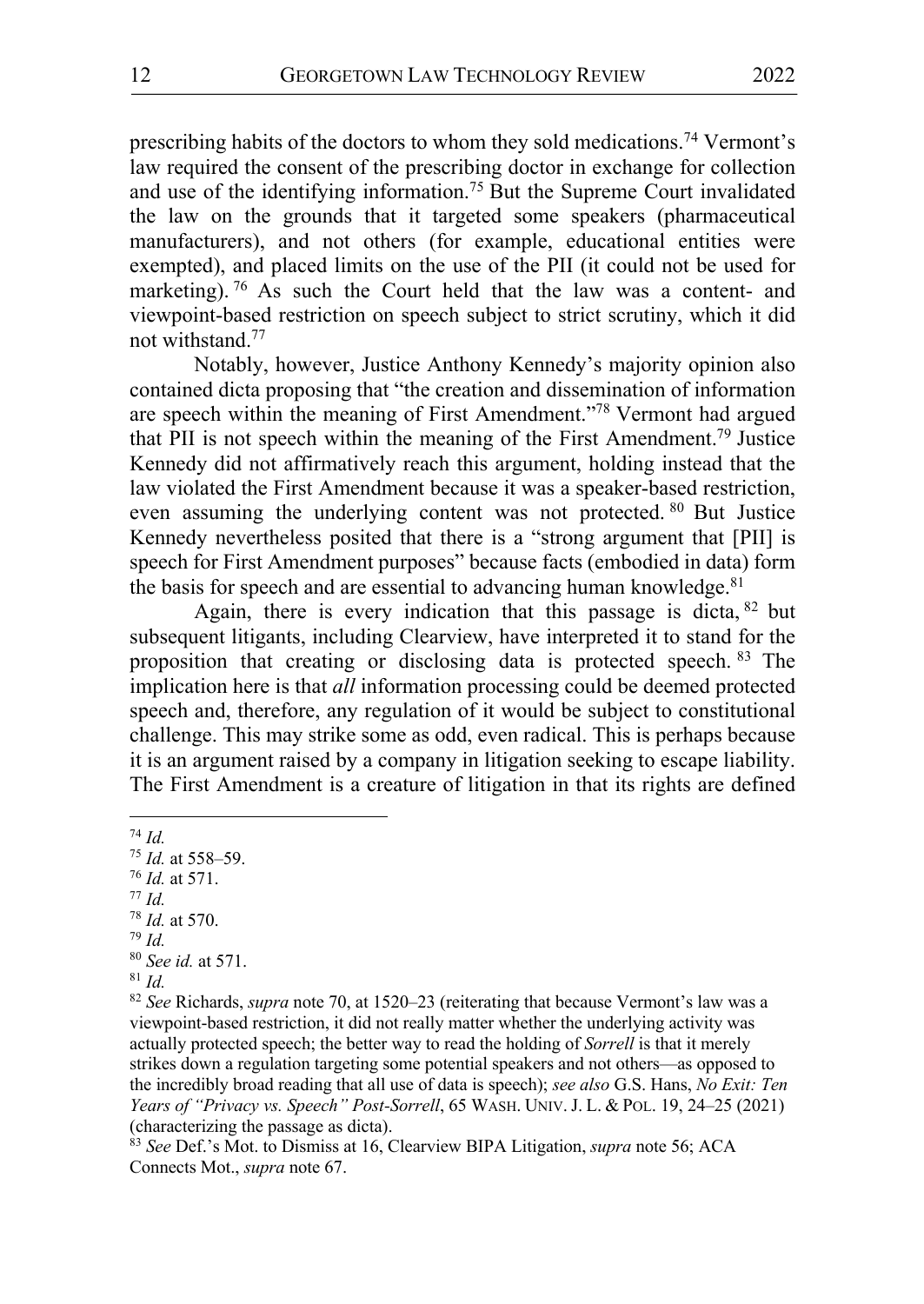prescribing habits of the doctors to whom they sold medications.74 Vermont's law required the consent of the prescribing doctor in exchange for collection and use of the identifying information.75 But the Supreme Court invalidated the law on the grounds that it targeted some speakers (pharmaceutical manufacturers), and not others (for example, educational entities were exempted), and placed limits on the use of the PII (it could not be used for marketing). <sup>76</sup> As such the Court held that the law was a content- and viewpoint-based restriction on speech subject to strict scrutiny, which it did not withstand.77

Notably, however, Justice Anthony Kennedy's majority opinion also contained dicta proposing that "the creation and dissemination of information are speech within the meaning of First Amendment."78 Vermont had argued that PII is not speech within the meaning of the First Amendment.79 Justice Kennedy did not affirmatively reach this argument, holding instead that the law violated the First Amendment because it was a speaker-based restriction, even assuming the underlying content was not protected. <sup>80</sup> But Justice Kennedy nevertheless posited that there is a "strong argument that [PII] is speech for First Amendment purposes" because facts (embodied in data) form the basis for speech and are essential to advancing human knowledge. $81$ 

Again, there is every indication that this passage is dicta,  $82$  but subsequent litigants, including Clearview, have interpreted it to stand for the proposition that creating or disclosing data is protected speech. <sup>83</sup> The implication here is that *all* information processing could be deemed protected speech and, therefore, any regulation of it would be subject to constitutional challenge. This may strike some as odd, even radical. This is perhaps because it is an argument raised by a company in litigation seeking to escape liability. The First Amendment is a creature of litigation in that its rights are defined

 74 *Id.* <sup>75</sup> *Id.* at 558–59. <sup>76</sup> *Id.* at 571.  $77$  *Id.* <sup>78</sup> *Id.* at 570. <sup>79</sup> *Id.* <sup>80</sup> *See id.* at 571. 81 *Id.*

<sup>82</sup> *See* Richards, *supra* note 70, at 1520–23 (reiterating that because Vermont's law was a viewpoint-based restriction, it did not really matter whether the underlying activity was actually protected speech; the better way to read the holding of *Sorrell* is that it merely strikes down a regulation targeting some potential speakers and not others—as opposed to the incredibly broad reading that all use of data is speech); *see also* G.S. Hans, *No Exit: Ten Years of "Privacy vs. Speech" Post-Sorrell*, 65 WASH. UNIV. J. L. & POL. 19, 24–25 (2021) (characterizing the passage as dicta). 83 *See* Def.'s Mot. to Dismiss at 16, Clearview BIPA Litigation, *supra* note 56; ACA

Connects Mot., *supra* note 67.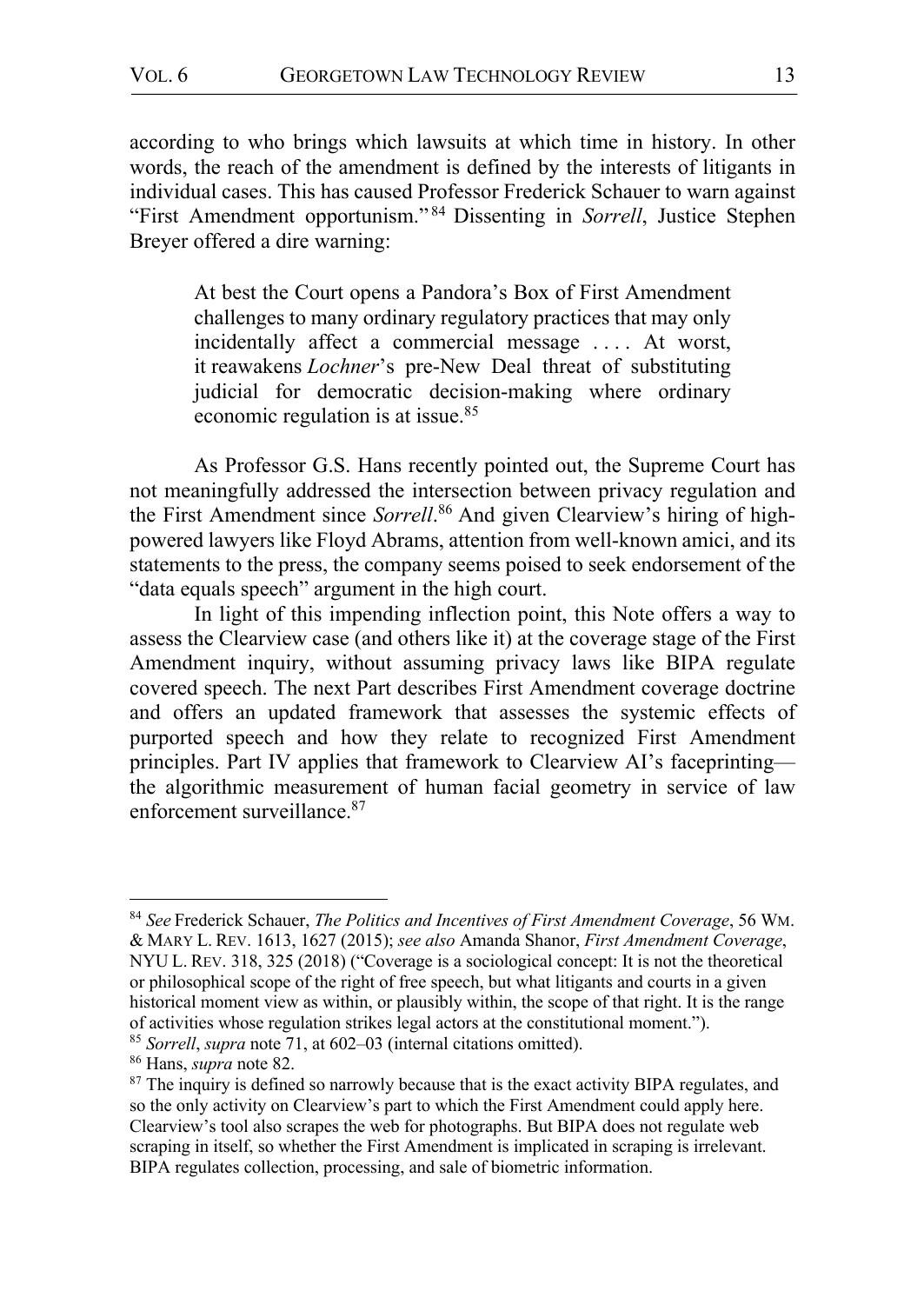according to who brings which lawsuits at which time in history. In other words, the reach of the amendment is defined by the interests of litigants in individual cases. This has caused Professor Frederick Schauer to warn against "First Amendment opportunism." <sup>84</sup> Dissenting in *Sorrell*, Justice Stephen Breyer offered a dire warning:

At best the Court opens a Pandora's Box of First Amendment challenges to many ordinary regulatory practices that may only incidentally affect a commercial message .... At worst, it reawakens *Lochner*'s pre-New Deal threat of substituting judicial for democratic decision-making where ordinary economic regulation is at issue.85

As Professor G.S. Hans recently pointed out, the Supreme Court has not meaningfully addressed the intersection between privacy regulation and the First Amendment since *Sorrell*. <sup>86</sup> And given Clearview's hiring of highpowered lawyers like Floyd Abrams, attention from well-known amici, and its statements to the press, the company seems poised to seek endorsement of the "data equals speech" argument in the high court.

In light of this impending inflection point, this Note offers a way to assess the Clearview case (and others like it) at the coverage stage of the First Amendment inquiry, without assuming privacy laws like BIPA regulate covered speech. The next Part describes First Amendment coverage doctrine and offers an updated framework that assesses the systemic effects of purported speech and how they relate to recognized First Amendment principles. Part IV applies that framework to Clearview AI's faceprinting the algorithmic measurement of human facial geometry in service of law enforcement surveillance.87

 <sup>84</sup> *See* Frederick Schauer, *The Politics and Incentives of First Amendment Coverage*, 56 WM. & MARY L. REV. 1613, 1627 (2015); *see also* Amanda Shanor, *First Amendment Coverage*, NYU L. REV. 318, 325 (2018) ("Coverage is a sociological concept: It is not the theoretical or philosophical scope of the right of free speech, but what litigants and courts in a given historical moment view as within, or plausibly within, the scope of that right. It is the range of activities whose regulation strikes legal actors at the constitutional moment.").

<sup>85</sup> *Sorrell*, *supra* note 71, at 602–03 (internal citations omitted). 86 Hans, *supra* note 82. 87 The inquiry is defined so narrowly because that is the exact activity BIPA regulates, and so the only activity on Clearview's part to which the First Amendment could apply here. Clearview's tool also scrapes the web for photographs. But BIPA does not regulate web scraping in itself, so whether the First Amendment is implicated in scraping is irrelevant. BIPA regulates collection, processing, and sale of biometric information.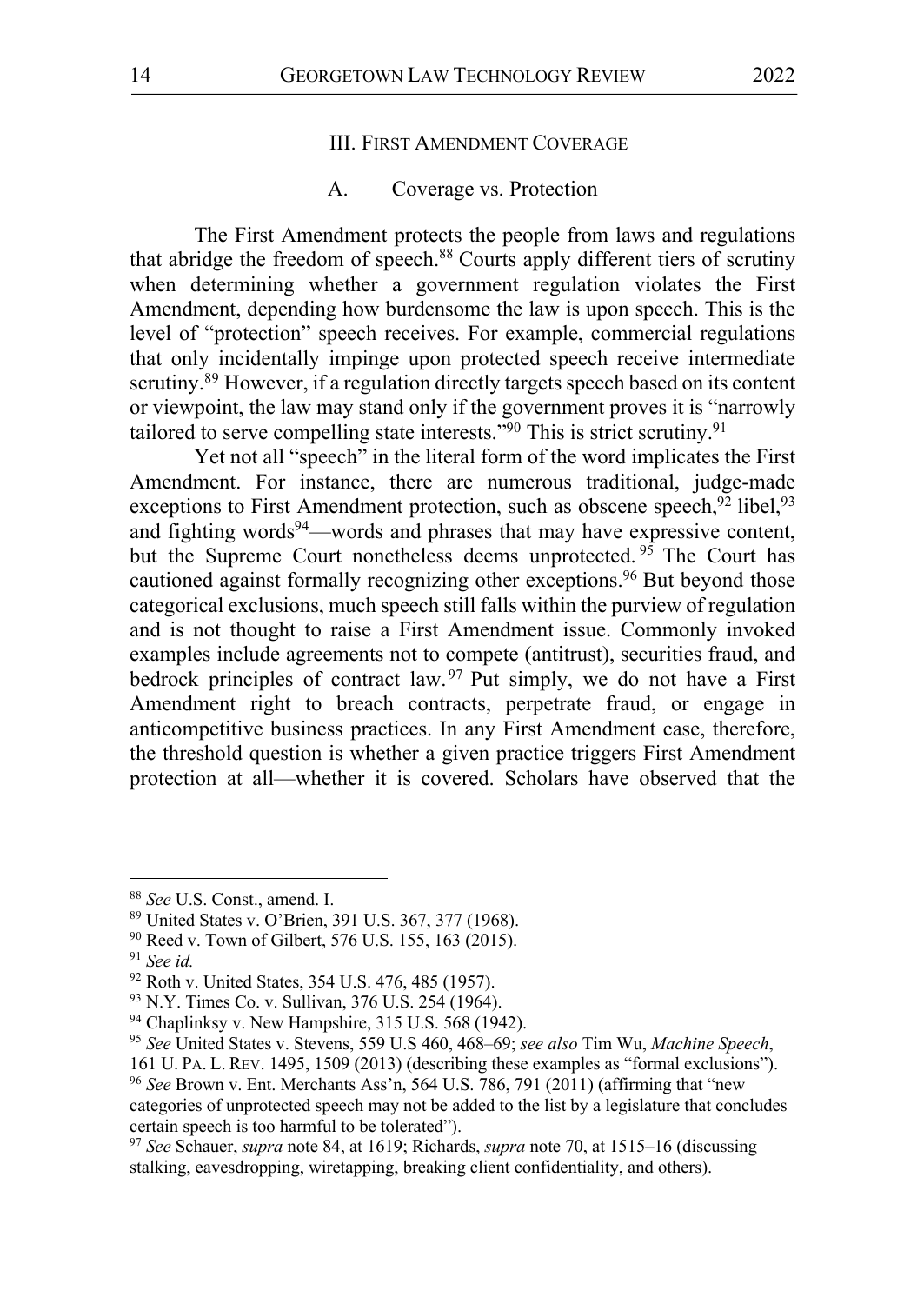#### III. FIRST AMENDMENT COVERAGE

#### A. Coverage vs. Protection

The First Amendment protects the people from laws and regulations that abridge the freedom of speech.<sup>88</sup> Courts apply different tiers of scrutiny when determining whether a government regulation violates the First Amendment, depending how burdensome the law is upon speech. This is the level of "protection" speech receives. For example, commercial regulations that only incidentally impinge upon protected speech receive intermediate scrutiny.<sup>89</sup> However, if a regulation directly targets speech based on its content or viewpoint, the law may stand only if the government proves it is "narrowly tailored to serve compelling state interests."<sup>90</sup> This is strict scrutiny.<sup>91</sup>

Yet not all "speech" in the literal form of the word implicates the First Amendment. For instance, there are numerous traditional, judge-made exceptions to First Amendment protection, such as obscene speech,  $92$  libel,  $93$ and fighting words<sup>94</sup>—words and phrases that may have expressive content, but the Supreme Court nonetheless deems unprotected.<sup>95</sup> The Court has cautioned against formally recognizing other exceptions.<sup>96</sup> But beyond those categorical exclusions, much speech still falls within the purview of regulation and is not thought to raise a First Amendment issue. Commonly invoked examples include agreements not to compete (antitrust), securities fraud, and bedrock principles of contract law.  $97$  Put simply, we do not have a First Amendment right to breach contracts, perpetrate fraud, or engage in anticompetitive business practices. In any First Amendment case, therefore, the threshold question is whether a given practice triggers First Amendment protection at all—whether it is covered. Scholars have observed that the

<sup>&</sup>lt;sup>88</sup> *See* U.S. Const., amend. I.<br><sup>89</sup> United States v. O'Brien, 391 U.S. 367, 377 (1968).

<sup>90</sup> Reed v. Town of Gilbert, 576 U.S. 155, 163 (2015).

<sup>&</sup>lt;sup>91</sup> *See id. (A) See id. (A) See id. States, 354 U.S. 476, 485 (1957). A*)

 $93$  N.Y. Times Co. v. Sullivan, 376 U.S. 254 (1964).  $94$  Chaplinksy v. New Hampshire, 315 U.S. 568 (1942).

<sup>95</sup> *See* United States v. Stevens, 559 U.S 460, 468–69; *see also* Tim Wu, *Machine Speech*,

<sup>161</sup> U. PA. L. REV. 1495, 1509 (2013) (describing these examples as "formal exclusions"). 96 *See* Brown v. Ent. Merchants Ass'n, 564 U.S. 786, 791 (2011) (affirming that "new categories of unprotected speech may not be added to the list by a legislature that concludes certain speech is too harmful to be tolerated").

<sup>97</sup> *See* Schauer, *supra* note 84, at 1619; Richards, *supra* note 70, at 1515–16 (discussing stalking, eavesdropping, wiretapping, breaking client confidentiality, and others).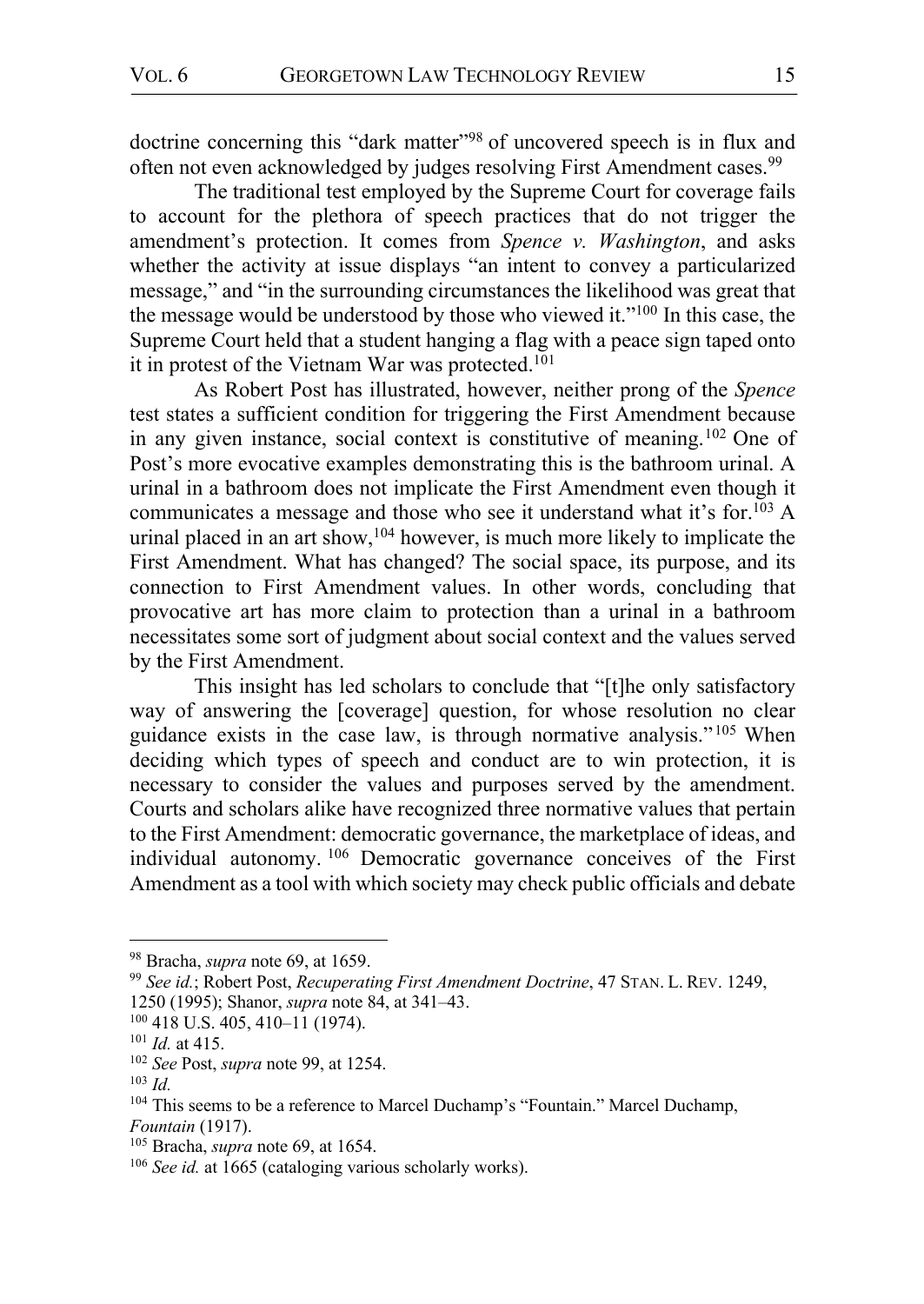doctrine concerning this "dark matter"<sup>98</sup> of uncovered speech is in flux and often not even acknowledged by judges resolving First Amendment cases.<sup>99</sup>

The traditional test employed by the Supreme Court for coverage fails to account for the plethora of speech practices that do not trigger the amendment's protection. It comes from *Spence v. Washington*, and asks whether the activity at issue displays "an intent to convey a particularized message," and "in the surrounding circumstances the likelihood was great that the message would be understood by those who viewed it."100 In this case, the Supreme Court held that a student hanging a flag with a peace sign taped onto it in protest of the Vietnam War was protected.<sup>101</sup>

As Robert Post has illustrated, however, neither prong of the *Spence* test states a sufficient condition for triggering the First Amendment because in any given instance, social context is constitutive of meaning.102 One of Post's more evocative examples demonstrating this is the bathroom urinal. A urinal in a bathroom does not implicate the First Amendment even though it communicates a message and those who see it understand what it's for.<sup>103</sup> A urinal placed in an art show,  $104$  however, is much more likely to implicate the First Amendment. What has changed? The social space, its purpose, and its connection to First Amendment values. In other words, concluding that provocative art has more claim to protection than a urinal in a bathroom necessitates some sort of judgment about social context and the values served by the First Amendment.

This insight has led scholars to conclude that "[t]he only satisfactory way of answering the [coverage] question, for whose resolution no clear guidance exists in the case law, is through normative analysis." <sup>105</sup> When deciding which types of speech and conduct are to win protection, it is necessary to consider the values and purposes served by the amendment. Courts and scholars alike have recognized three normative values that pertain to the First Amendment: democratic governance, the marketplace of ideas, and individual autonomy. <sup>106</sup> Democratic governance conceives of the First Amendment as a tool with which society may check public officials and debate

<sup>&</sup>lt;sup>98</sup> Bracha, *supra* note 69, at 1659.<br><sup>99</sup> *See id.*; Robert Post, *Recuperating First Amendment Doctrine*, 47 STAN. L. REV. 1249, 1250 (1995); Shanor, *supra* note 84, at 341–43.

<sup>&</sup>lt;sup>101</sup> *Id.* at 415.<br><sup>102</sup> *See* Post, *supra* note 99, at 1254.

<sup>103</sup> *Id.*

<sup>&</sup>lt;sup>104</sup> This seems to be a reference to Marcel Duchamp's "Fountain." Marcel Duchamp, *Fountain* (1917).

<sup>105</sup> Bracha, *supra* note 69, at 1654.

<sup>106</sup> *See id.* at 1665 (cataloging various scholarly works).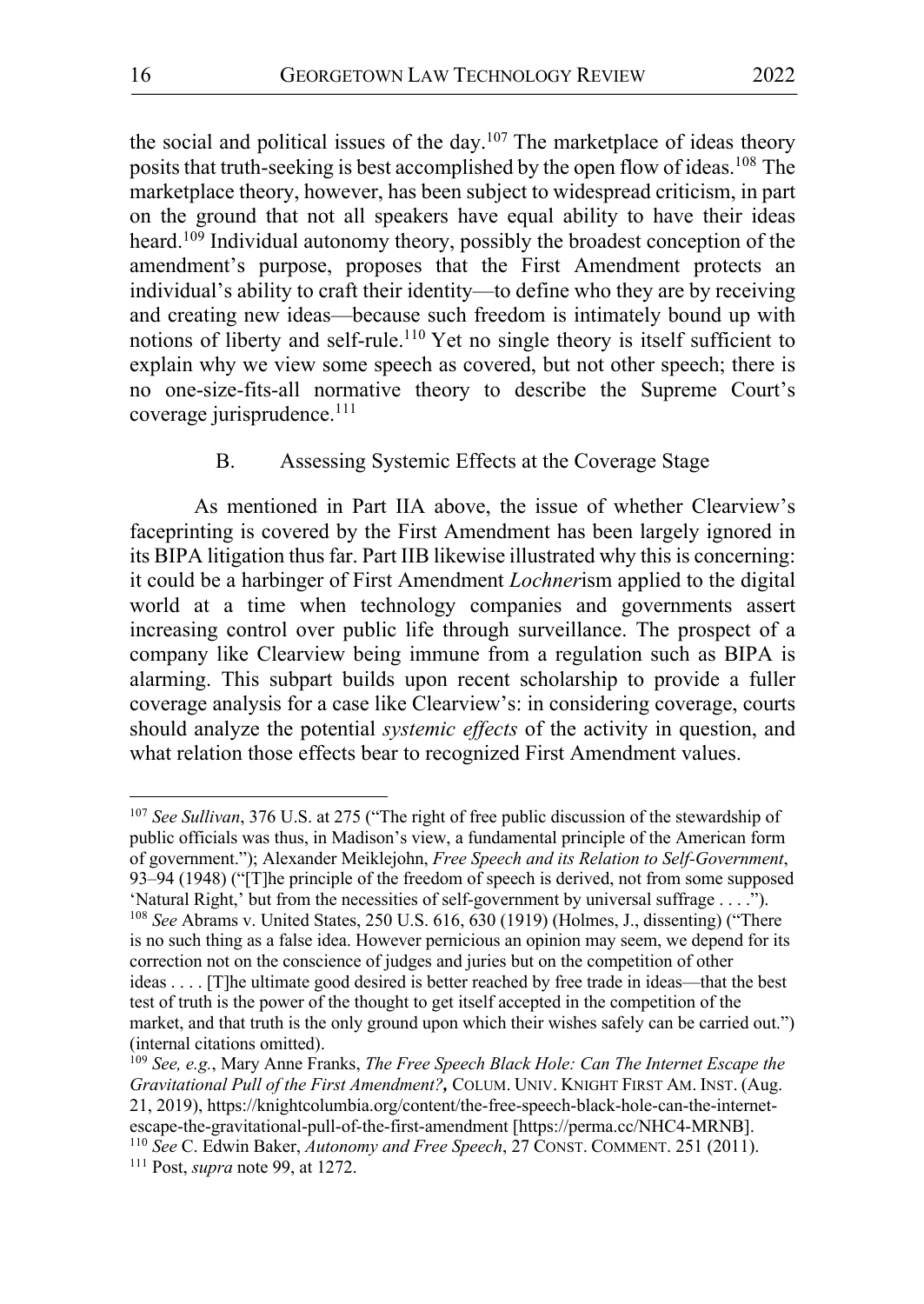the social and political issues of the day.<sup>107</sup> The marketplace of ideas theory posits that truth-seeking is best accomplished by the open flow of ideas.108 The marketplace theory, however, has been subject to widespread criticism, in part on the ground that not all speakers have equal ability to have their ideas heard.<sup>109</sup> Individual autonomy theory, possibly the broadest conception of the amendment's purpose, proposes that the First Amendment protects an individual's ability to craft their identity—to define who they are by receiving and creating new ideas—because such freedom is intimately bound up with notions of liberty and self-rule.<sup>110</sup> Yet no single theory is itself sufficient to explain why we view some speech as covered, but not other speech; there is no one-size-fits-all normative theory to describe the Supreme Court's coverage jurisprudence.<sup>111</sup>

## B. Assessing Systemic Effects at the Coverage Stage

As mentioned in Part IIA above, the issue of whether Clearview's faceprinting is covered by the First Amendment has been largely ignored in its BIPA litigation thus far. Part IIB likewise illustrated why this is concerning: it could be a harbinger of First Amendment *Lochner*ism applied to the digital world at a time when technology companies and governments assert increasing control over public life through surveillance. The prospect of a company like Clearview being immune from a regulation such as BIPA is alarming. This subpart builds upon recent scholarship to provide a fuller coverage analysis for a case like Clearview's: in considering coverage, courts should analyze the potential *systemic effects* of the activity in question, and what relation those effects bear to recognized First Amendment values.

 <sup>107</sup> *See Sullivan*, 376 U.S. at 275 ("The right of free public discussion of the stewardship of public officials was thus, in Madison's view, a fundamental principle of the American form of government."); Alexander Meiklejohn, *Free Speech and its Relation to Self-Government*, 93–94 (1948) ("[T]he principle of the freedom of speech is derived, not from some supposed 'Natural Right,' but from the necessities of self-government by universal suffrage . . . ."). <sup>108</sup> *See* Abrams v. United States, 250 U.S. 616, 630 (1919) (Holmes, J., dissenting) ("There is no such thing as a false idea. However pernicious an opinion may seem, we depend for its correction not on the conscience of judges and juries but on the competition of other ideas . . . . [T]he ultimate good desired is better reached by free trade in ideas—that the best test of truth is the power of the thought to get itself accepted in the competition of the market, and that truth is the only ground upon which their wishes safely can be carried out.") (internal citations omitted).

<sup>109</sup> *See, e.g.*, Mary Anne Franks, *The Free Speech Black Hole: Can The Internet Escape the Gravitational Pull of the First Amendment?,* COLUM. UNIV. KNIGHT FIRST AM. INST. (Aug. 21, 2019), https://knightcolumbia.org/content/the-free-speech-black-hole-can-the-internetescape-the-gravitational-pull-of-the-first-amendment [https://perma.cc/NHC4-MRNB]. <sup>110</sup> *See* C. Edwin Baker, *Autonomy and Free Speech*, 27 CONST. COMMENT. 251 (2011).

<sup>111</sup> Post, *supra* note 99, at 1272.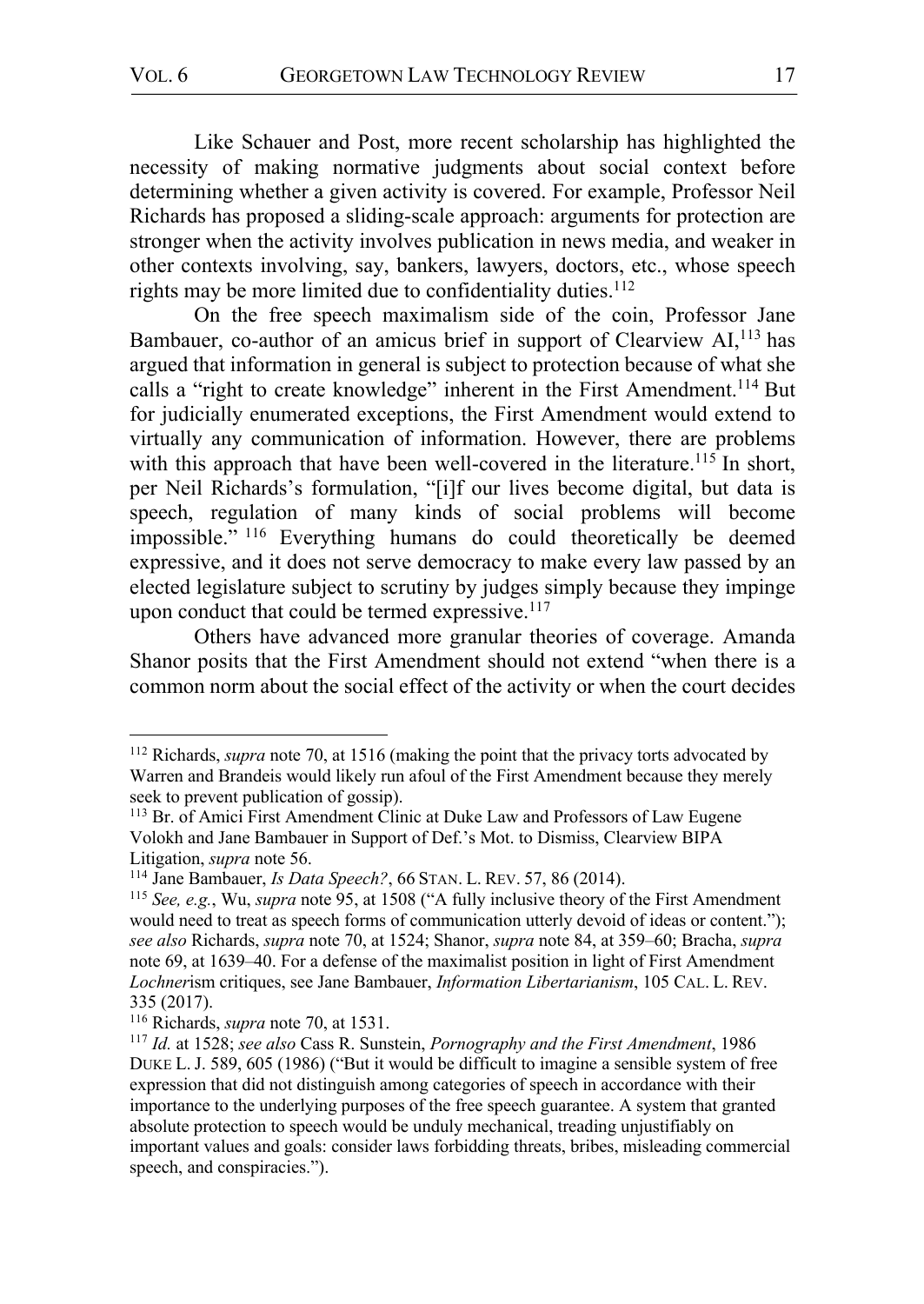Like Schauer and Post, more recent scholarship has highlighted the necessity of making normative judgments about social context before determining whether a given activity is covered. For example, Professor Neil Richards has proposed a sliding-scale approach: arguments for protection are stronger when the activity involves publication in news media, and weaker in other contexts involving, say, bankers, lawyers, doctors, etc., whose speech rights may be more limited due to confidentiality duties.<sup>112</sup>

On the free speech maximalism side of the coin, Professor Jane Bambauer, co-author of an amicus brief in support of Clearview AI,<sup>113</sup> has argued that information in general is subject to protection because of what she calls a "right to create knowledge" inherent in the First Amendment.<sup>114</sup> But for judicially enumerated exceptions, the First Amendment would extend to virtually any communication of information. However, there are problems with this approach that have been well-covered in the literature.<sup>115</sup> In short, per Neil Richards's formulation, "[i]f our lives become digital, but data is speech, regulation of many kinds of social problems will become impossible." <sup>116</sup> Everything humans do could theoretically be deemed expressive, and it does not serve democracy to make every law passed by an elected legislature subject to scrutiny by judges simply because they impinge upon conduct that could be termed expressive. $117$ 

Others have advanced more granular theories of coverage. Amanda Shanor posits that the First Amendment should not extend "when there is a common norm about the social effect of the activity or when the court decides

 <sup>112</sup> Richards, *supra* note 70, at 1516 (making the point that the privacy torts advocated by Warren and Brandeis would likely run afoul of the First Amendment because they merely seek to prevent publication of gossip).

<sup>&</sup>lt;sup>113</sup> Br. of Amici First Amendment Clinic at Duke Law and Professors of Law Eugene Volokh and Jane Bambauer in Support of Def.'s Mot. to Dismiss, Clearview BIPA Litigation, *supra* note 56.

<sup>114</sup> Jane Bambauer, *Is Data Speech?*, 66 STAN. L. REV. 57, 86 (2014).

<sup>115</sup> *See, e.g.*, Wu, *supra* note 95, at 1508 ("A fully inclusive theory of the First Amendment would need to treat as speech forms of communication utterly devoid of ideas or content."); *see also* Richards, *supra* note 70, at 1524; Shanor, *supra* note 84, at 359–60; Bracha, *supra* note 69, at 1639–40. For a defense of the maximalist position in light of First Amendment *Lochner*ism critiques, see Jane Bambauer, *Information Libertarianism*, 105 CAL. L. REV. 335 (2017).

<sup>116</sup> Richards, *supra* note 70, at 1531.

<sup>117</sup> *Id.* at 1528; *see also* Cass R. Sunstein, *Pornography and the First Amendment*, 1986 DUKE L. J. 589, 605 (1986) ("But it would be difficult to imagine a sensible system of free expression that did not distinguish among categories of speech in accordance with their importance to the underlying purposes of the free speech guarantee. A system that granted absolute protection to speech would be unduly mechanical, treading unjustifiably on important values and goals: consider laws forbidding threats, bribes, misleading commercial speech, and conspiracies.").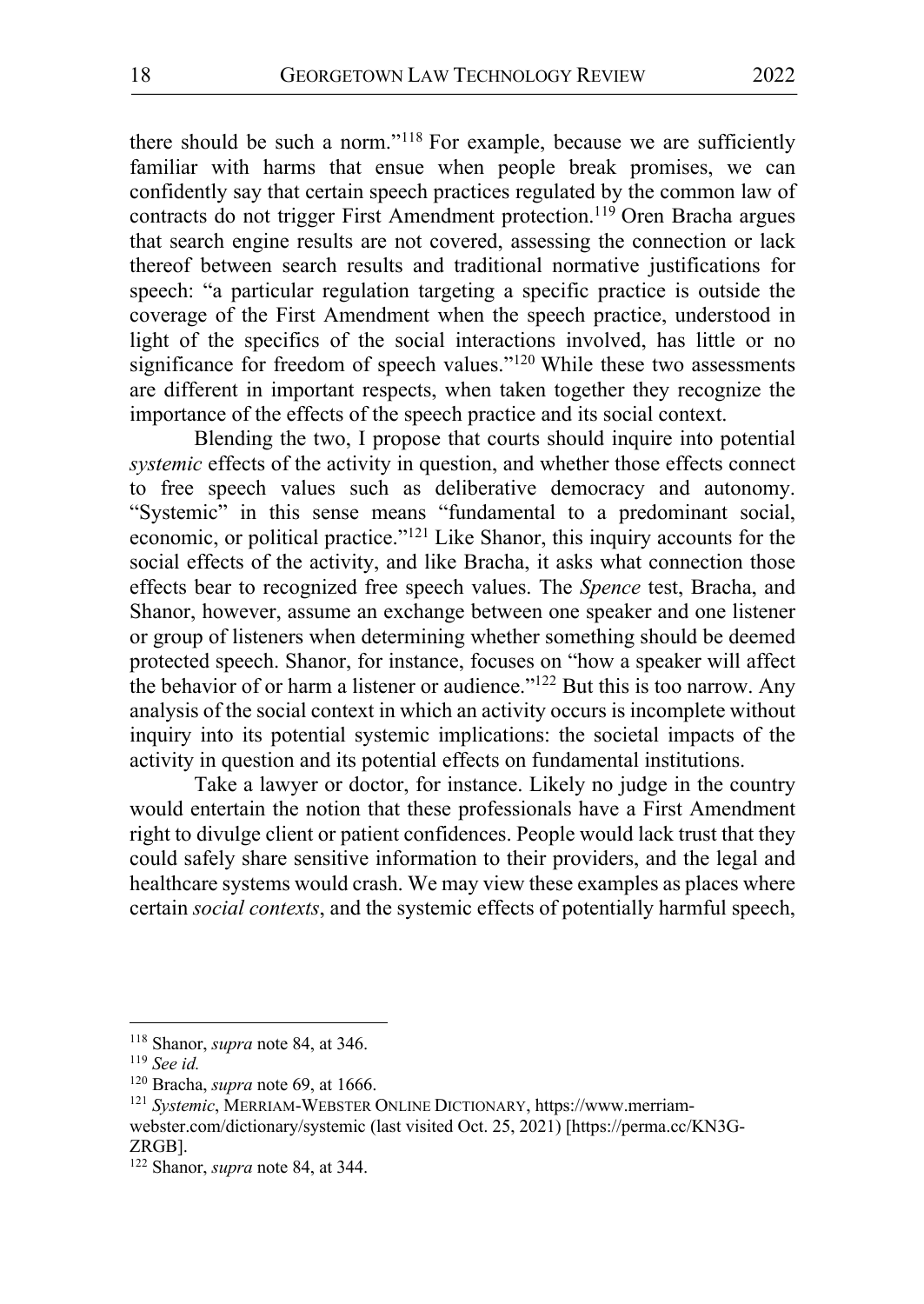there should be such a norm."118 For example, because we are sufficiently familiar with harms that ensue when people break promises, we can confidently say that certain speech practices regulated by the common law of contracts do not trigger First Amendment protection.<sup>119</sup> Oren Bracha argues that search engine results are not covered, assessing the connection or lack thereof between search results and traditional normative justifications for speech: "a particular regulation targeting a specific practice is outside the coverage of the First Amendment when the speech practice, understood in light of the specifics of the social interactions involved, has little or no significance for freedom of speech values."<sup>120</sup> While these two assessments are different in important respects, when taken together they recognize the importance of the effects of the speech practice and its social context.

Blending the two, I propose that courts should inquire into potential *systemic* effects of the activity in question, and whether those effects connect to free speech values such as deliberative democracy and autonomy. "Systemic" in this sense means "fundamental to a predominant social, economic, or political practice."121 Like Shanor, this inquiry accounts for the social effects of the activity, and like Bracha, it asks what connection those effects bear to recognized free speech values. The *Spence* test, Bracha, and Shanor, however, assume an exchange between one speaker and one listener or group of listeners when determining whether something should be deemed protected speech. Shanor, for instance, focuses on "how a speaker will affect the behavior of or harm a listener or audience."122 But this is too narrow. Any analysis of the social context in which an activity occurs is incomplete without inquiry into its potential systemic implications: the societal impacts of the activity in question and its potential effects on fundamental institutions.

Take a lawyer or doctor, for instance. Likely no judge in the country would entertain the notion that these professionals have a First Amendment right to divulge client or patient confidences. People would lack trust that they could safely share sensitive information to their providers, and the legal and healthcare systems would crash. We may view these examples as places where certain *social contexts*, and the systemic effects of potentially harmful speech,

<sup>118</sup> Shanor, *supra* note 84, at 346. 119 *See id.*

<sup>&</sup>lt;sup>121</sup> Systemic, MERRIAM-WEBSTER ONLINE DICTIONARY, https://www.merriamwebster.com/dictionary/systemic (last visited Oct. 25, 2021) [https://perma.cc/KN3G-ZRGB].

<sup>122</sup> Shanor, *supra* note 84, at 344.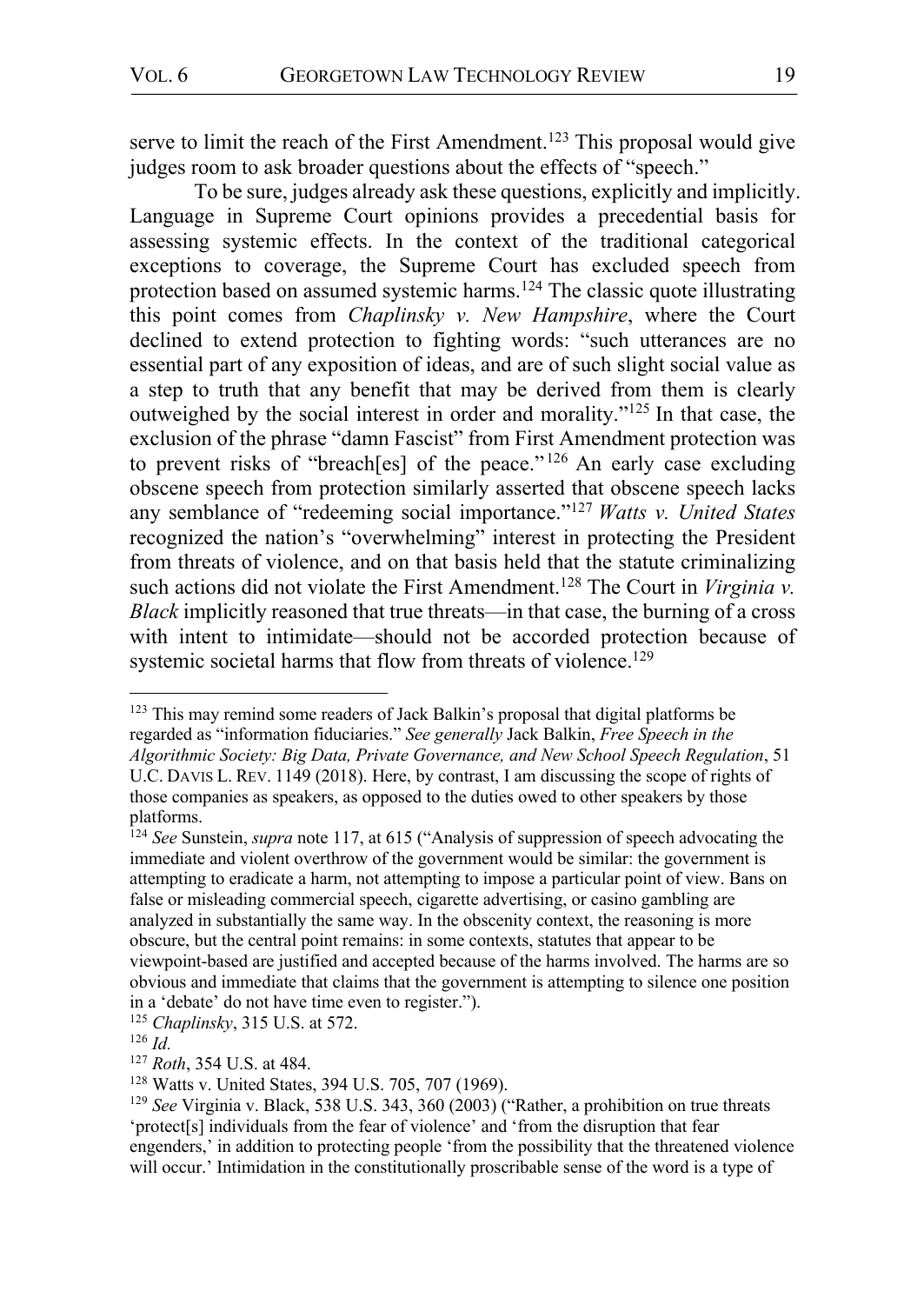serve to limit the reach of the First Amendment.<sup>123</sup> This proposal would give judges room to ask broader questions about the effects of "speech."

To be sure, judges already ask these questions, explicitly and implicitly. Language in Supreme Court opinions provides a precedential basis for assessing systemic effects. In the context of the traditional categorical exceptions to coverage, the Supreme Court has excluded speech from protection based on assumed systemic harms.<sup>124</sup> The classic quote illustrating this point comes from *Chaplinsky v. New Hampshire*, where the Court declined to extend protection to fighting words: "such utterances are no essential part of any exposition of ideas, and are of such slight social value as a step to truth that any benefit that may be derived from them is clearly outweighed by the social interest in order and morality."125 In that case, the exclusion of the phrase "damn Fascist" from First Amendment protection was to prevent risks of "breach[es] of the peace."<sup>126</sup> An early case excluding obscene speech from protection similarly asserted that obscene speech lacks any semblance of "redeeming social importance."127 *Watts v. United States* recognized the nation's "overwhelming" interest in protecting the President from threats of violence, and on that basis held that the statute criminalizing such actions did not violate the First Amendment.<sup>128</sup> The Court in *Virginia v. Black* implicitly reasoned that true threats—in that case, the burning of a cross with intent to intimidate—should not be accorded protection because of systemic societal harms that flow from threats of violence.<sup>129</sup>

 <sup>123</sup> This may remind some readers of Jack Balkin's proposal that digital platforms be regarded as "information fiduciaries." *See generally* Jack Balkin, *Free Speech in the Algorithmic Society: Big Data, Private Governance, and New School Speech Regulation*, 51 U.C. DAVIS L. REV. 1149 (2018). Here, by contrast, I am discussing the scope of rights of those companies as speakers, as opposed to the duties owed to other speakers by those platforms.

<sup>124</sup> *See* Sunstein, *supra* note 117, at 615 ("Analysis of suppression of speech advocating the immediate and violent overthrow of the government would be similar: the government is attempting to eradicate a harm, not attempting to impose a particular point of view. Bans on false or misleading commercial speech, cigarette advertising, or casino gambling are analyzed in substantially the same way. In the obscenity context, the reasoning is more obscure, but the central point remains: in some contexts, statutes that appear to be viewpoint-based are justified and accepted because of the harms involved. The harms are so obvious and immediate that claims that the government is attempting to silence one position in a 'debate' do not have time even to register.").

<sup>125</sup> *Chaplinsky*, 315 U.S. at 572.

<sup>126</sup> *Id.*

<sup>127</sup> *Roth*, 354 U.S. at 484.

<sup>128</sup> Watts v. United States, 394 U.S. 705, 707 (1969).

<sup>129</sup> *See* Virginia v. Black, 538 U.S. 343, 360 (2003) ("Rather, a prohibition on true threats 'protect[s] individuals from the fear of violence' and 'from the disruption that fear engenders,' in addition to protecting people 'from the possibility that the threatened violence will occur.' Intimidation in the constitutionally proscribable sense of the word is a type of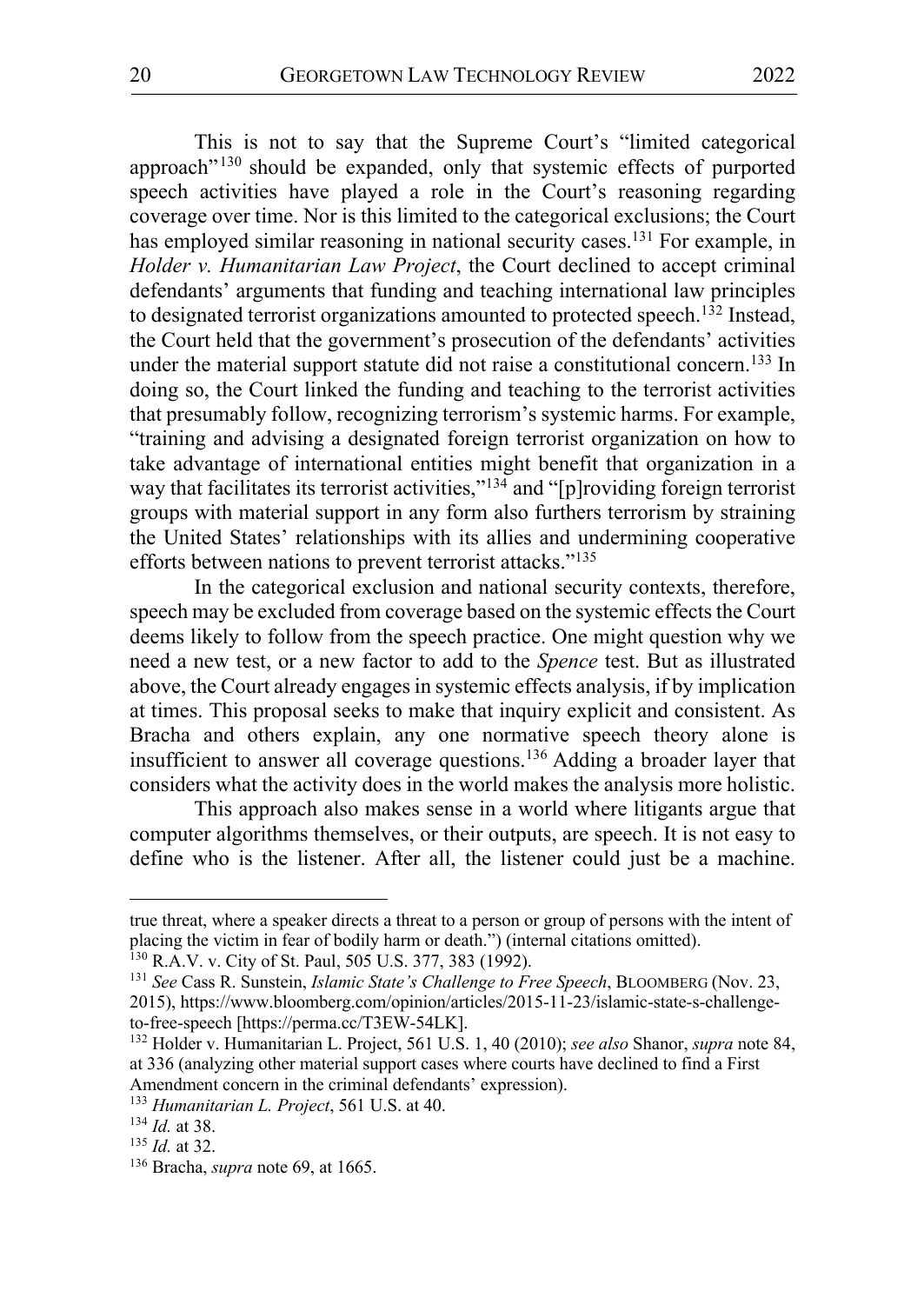This is not to say that the Supreme Court's "limited categorical approach" <sup>130</sup> should be expanded, only that systemic effects of purported speech activities have played a role in the Court's reasoning regarding coverage over time. Nor is this limited to the categorical exclusions; the Court has employed similar reasoning in national security cases.<sup>131</sup> For example, in *Holder v. Humanitarian Law Project*, the Court declined to accept criminal defendants' arguments that funding and teaching international law principles to designated terrorist organizations amounted to protected speech.132 Instead, the Court held that the government's prosecution of the defendants' activities under the material support statute did not raise a constitutional concern.<sup>133</sup> In doing so, the Court linked the funding and teaching to the terrorist activities that presumably follow, recognizing terrorism's systemic harms. For example, "training and advising a designated foreign terrorist organization on how to take advantage of international entities might benefit that organization in a way that facilitates its terrorist activities,"<sup>134</sup> and "[p]roviding foreign terrorist groups with material support in any form also furthers terrorism by straining the United States' relationships with its allies and undermining cooperative efforts between nations to prevent terrorist attacks."<sup>135</sup>

In the categorical exclusion and national security contexts, therefore, speech may be excluded from coverage based on the systemic effects the Court deems likely to follow from the speech practice. One might question why we need a new test, or a new factor to add to the *Spence* test. But as illustrated above, the Court already engages in systemic effects analysis, if by implication at times. This proposal seeks to make that inquiry explicit and consistent. As Bracha and others explain, any one normative speech theory alone is insufficient to answer all coverage questions.136 Adding a broader layer that considers what the activity does in the world makes the analysis more holistic.

This approach also makes sense in a world where litigants argue that computer algorithms themselves, or their outputs, are speech. It is not easy to define who is the listener. After all, the listener could just be a machine.

 $\overline{a}$ 

true threat, where a speaker directs a threat to a person or group of persons with the intent of placing the victim in fear of bodily harm or death.") (internal citations omitted).

<sup>&</sup>lt;sup>130</sup> R.A.V. v. City of St. Paul, 505 U.S. 377, 383 (1992).<br><sup>131</sup> See Cass R. Sunstein, *Islamic State's Challenge to Free Speech*, BLOOMBERG (Nov. 23, 2015), https://www.bloomberg.com/opinion/articles/2015-11-23/islamic-state-s-challengeto-free-speech [https://perma.cc/T3EW-54LK].

<sup>132</sup> Holder v. Humanitarian L. Project, 561 U.S. 1, 40 (2010); *see also* Shanor, *supra* note 84, at 336 (analyzing other material support cases where courts have declined to find a First Amendment concern in the criminal defendants' expression).

<sup>133</sup> *Humanitarian L. Project*, 561 U.S. at 40.

<sup>&</sup>lt;sup>134</sup> *Id.* at 38.<br><sup>135</sup> *Id.* at 32.

<sup>&</sup>lt;sup>136</sup> Bracha, *supra* note 69, at 1665.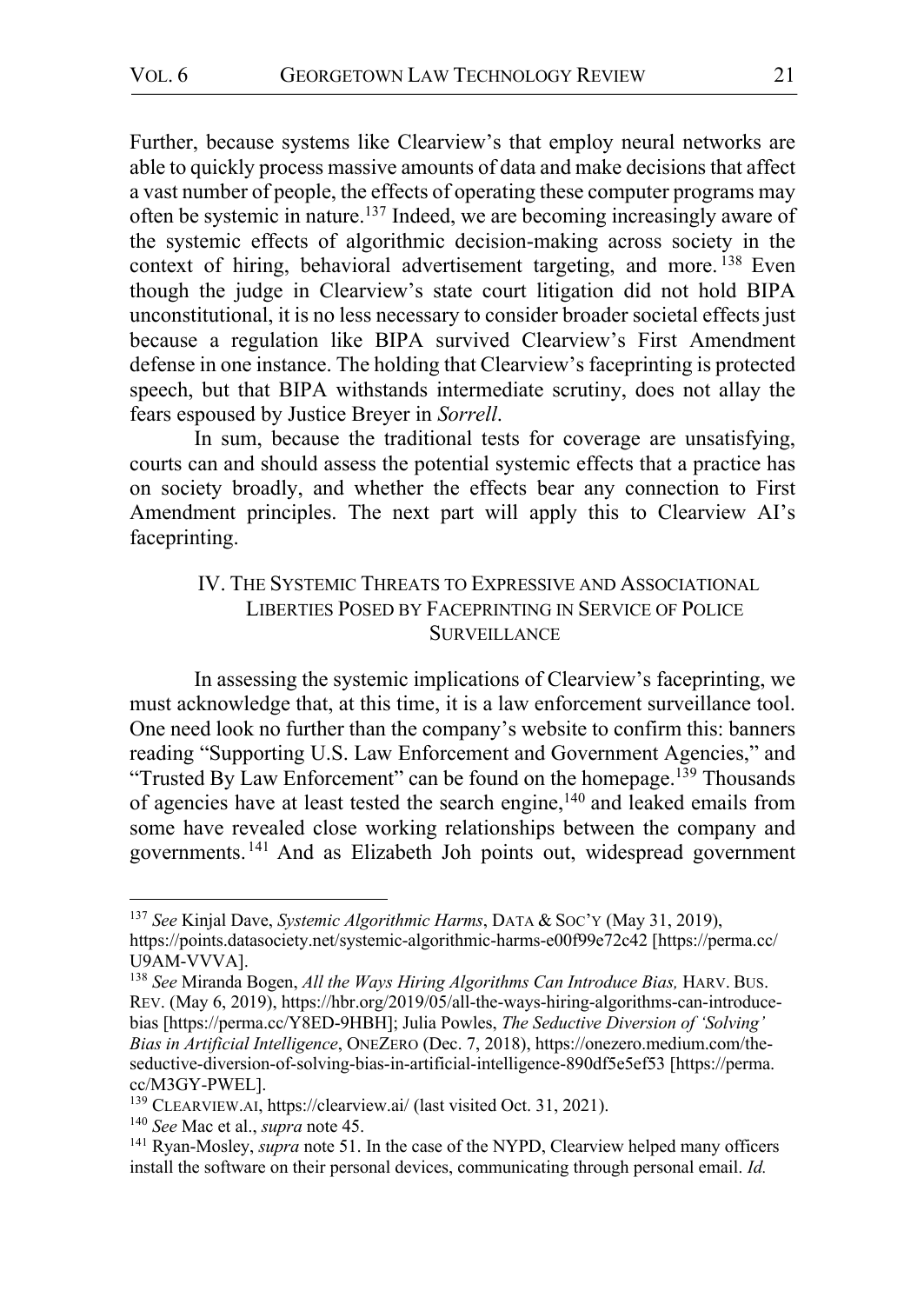Further, because systems like Clearview's that employ neural networks are able to quickly process massive amounts of data and make decisions that affect a vast number of people, the effects of operating these computer programs may often be systemic in nature.137 Indeed, we are becoming increasingly aware of the systemic effects of algorithmic decision-making across society in the context of hiring, behavioral advertisement targeting, and more. <sup>138</sup> Even though the judge in Clearview's state court litigation did not hold BIPA unconstitutional, it is no less necessary to consider broader societal effects just because a regulation like BIPA survived Clearview's First Amendment defense in one instance. The holding that Clearview's faceprinting is protected speech, but that BIPA withstands intermediate scrutiny, does not allay the fears espoused by Justice Breyer in *Sorrell*.

In sum, because the traditional tests for coverage are unsatisfying, courts can and should assess the potential systemic effects that a practice has on society broadly, and whether the effects bear any connection to First Amendment principles. The next part will apply this to Clearview AI's faceprinting.

# IV. THE SYSTEMIC THREATS TO EXPRESSIVE AND ASSOCIATIONAL LIBERTIES POSED BY FACEPRINTING IN SERVICE OF POLICE **SURVEILLANCE**

In assessing the systemic implications of Clearview's faceprinting, we must acknowledge that, at this time, it is a law enforcement surveillance tool. One need look no further than the company's website to confirm this: banners reading "Supporting U.S. Law Enforcement and Government Agencies," and "Trusted By Law Enforcement" can be found on the homepage.<sup>139</sup> Thousands of agencies have at least tested the search engine,<sup>140</sup> and leaked emails from some have revealed close working relationships between the company and governments. <sup>141</sup> And as Elizabeth Joh points out, widespread government

 <sup>137</sup> *See* Kinjal Dave, *Systemic Algorithmic Harms*, DATA & SOC'Y (May 31, 2019), https://points.datasociety.net/systemic-algorithmic-harms-e00f99e72c42 [https://perma.cc/ U9AM-VVVA].<br><sup>138</sup> *See* Miranda Bogen, *All the Ways Hiring Algorithms Can Introduce Bias, HARV. BUS.* 

REV. (May 6, 2019), https://hbr.org/2019/05/all-the-ways-hiring-algorithms-can-introducebias [https://perma.cc/Y8ED-9HBH]; Julia Powles, *The Seductive Diversion of 'Solving' Bias in Artificial Intelligence*, ONEZERO (Dec. 7, 2018), https://onezero.medium.com/theseductive-diversion-of-solving-bias-in-artificial-intelligence-890df5e5ef53 [https://perma. cc/M3GY-PWEL].<br><sup>139</sup> CLEARVIEW.AI, https://clearview.ai/ (last visited Oct. 31, 2021).<br><sup>140</sup> *See* Mac et al., *supra* note 45.<br><sup>141</sup> Ryan-Mosley, *supra* note 51. In the case of the NYPD, Clearview helped many officers

install the software on their personal devices, communicating through personal email. *Id.*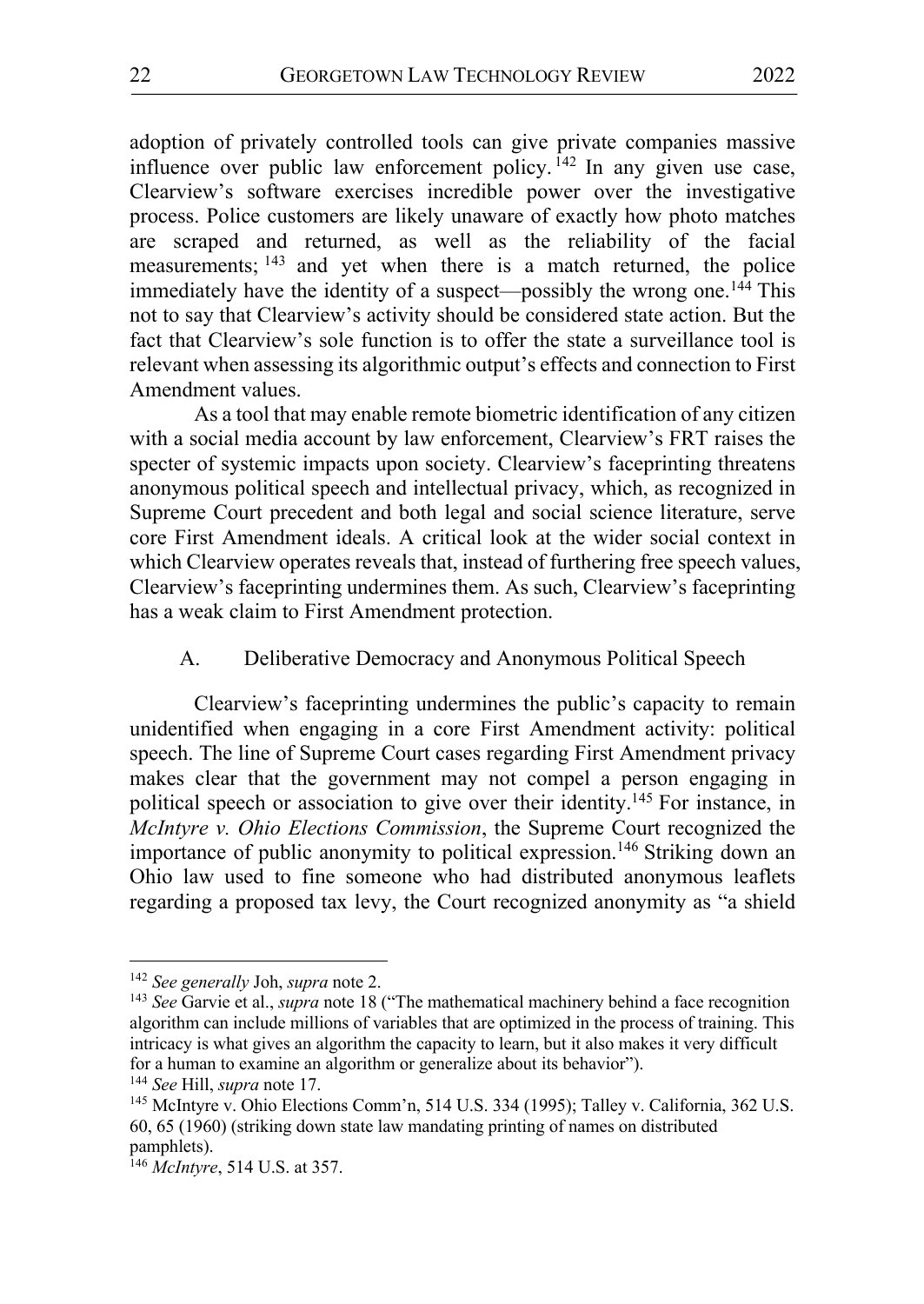adoption of privately controlled tools can give private companies massive influence over public law enforcement policy.<sup>142</sup> In any given use case, Clearview's software exercises incredible power over the investigative process. Police customers are likely unaware of exactly how photo matches are scraped and returned, as well as the reliability of the facial measurements; <sup>143</sup> and yet when there is a match returned, the police immediately have the identity of a suspect—possibly the wrong one.<sup>144</sup> This not to say that Clearview's activity should be considered state action. But the fact that Clearview's sole function is to offer the state a surveillance tool is relevant when assessing its algorithmic output's effects and connection to First Amendment values.

As a tool that may enable remote biometric identification of any citizen with a social media account by law enforcement, Clearview's FRT raises the specter of systemic impacts upon society. Clearview's faceprinting threatens anonymous political speech and intellectual privacy, which, as recognized in Supreme Court precedent and both legal and social science literature, serve core First Amendment ideals. A critical look at the wider social context in which Clearview operates reveals that, instead of furthering free speech values, Clearview's faceprinting undermines them. As such, Clearview's faceprinting has a weak claim to First Amendment protection.

#### A. Deliberative Democracy and Anonymous Political Speech

Clearview's faceprinting undermines the public's capacity to remain unidentified when engaging in a core First Amendment activity: political speech. The line of Supreme Court cases regarding First Amendment privacy makes clear that the government may not compel a person engaging in political speech or association to give over their identity.145 For instance, in *McIntyre v. Ohio Elections Commission*, the Supreme Court recognized the importance of public anonymity to political expression.<sup>146</sup> Striking down an Ohio law used to fine someone who had distributed anonymous leaflets regarding a proposed tax levy, the Court recognized anonymity as "a shield

 <sup>142</sup> *See generally* Joh, *supra* note 2.

<sup>143</sup> *See* Garvie et al., *supra* note 18 ("The mathematical machinery behind a face recognition algorithm can include millions of variables that are optimized in the process of training. This intricacy is what gives an algorithm the capacity to learn, but it also makes it very difficult for a human to examine an algorithm or generalize about its behavior").

<sup>144</sup> *See* Hill, *supra* note 17.

<sup>145</sup> McIntyre v. Ohio Elections Comm'n, 514 U.S. 334 (1995); Talley v. California, 362 U.S. 60, 65 (1960) (striking down state law mandating printing of names on distributed pamphlets).

<sup>146</sup> *McIntyre*, 514 U.S. at 357.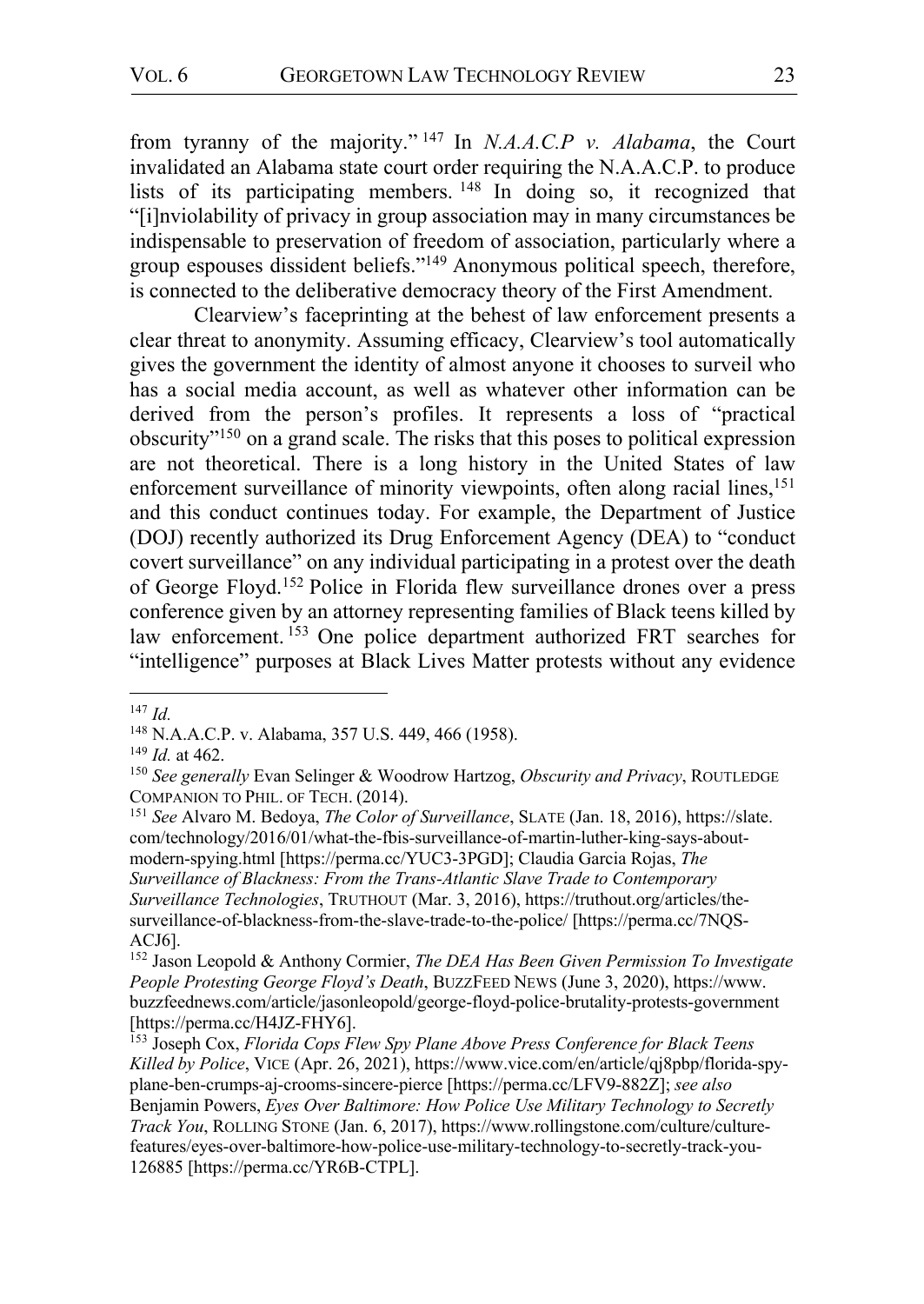from tyranny of the majority." <sup>147</sup> In *N.A.A.C.P v. Alabama*, the Court invalidated an Alabama state court order requiring the N.A.A.C.P. to produce lists of its participating members. <sup>148</sup> In doing so, it recognized that "[i]nviolability of privacy in group association may in many circumstances be indispensable to preservation of freedom of association, particularly where a group espouses dissident beliefs."149 Anonymous political speech, therefore, is connected to the deliberative democracy theory of the First Amendment.

Clearview's faceprinting at the behest of law enforcement presents a clear threat to anonymity. Assuming efficacy, Clearview's tool automatically gives the government the identity of almost anyone it chooses to surveil who has a social media account, as well as whatever other information can be derived from the person's profiles. It represents a loss of "practical obscurity"150 on a grand scale. The risks that this poses to political expression are not theoretical. There is a long history in the United States of law enforcement surveillance of minority viewpoints, often along racial lines,<sup>151</sup> and this conduct continues today. For example, the Department of Justice (DOJ) recently authorized its Drug Enforcement Agency (DEA) to "conduct covert surveillance" on any individual participating in a protest over the death of George Floyd.152 Police in Florida flew surveillance drones over a press conference given by an attorney representing families of Black teens killed by law enforcement. <sup>153</sup> One police department authorized FRT searches for "intelligence" purposes at Black Lives Matter protests without any evidence

 <sup>147</sup> *Id.*

<sup>148</sup> N.A.A.C.P. v. Alabama, 357 U.S. 449, 466 (1958).

<sup>&</sup>lt;sup>149</sup> *Id.* at 462.<br><sup>150</sup> *See generally* Evan Selinger & Woodrow Hartzog, *Obscurity and Privacy*, ROUTLEDGE COMPANION TO PHIL. OF TECH. (2014).

<sup>151</sup> *See* Alvaro M. Bedoya, *The Color of Surveillance*, SLATE (Jan. 18, 2016), https://slate. com/technology/2016/01/what-the-fbis-surveillance-of-martin-luther-king-says-aboutmodern-spying.html [https://perma.cc/YUC3-3PGD]; Claudia Garcia Rojas, *The Surveillance of Blackness: From the Trans-Atlantic Slave Trade to Contemporary Surveillance Technologies*, TRUTHOUT (Mar. 3, 2016), https://truthout.org/articles/thesurveillance-of-blackness-from-the-slave-trade-to-the-police/ [https://perma.cc/7NQS-ACJ6].

<sup>152</sup> Jason Leopold & Anthony Cormier, *The DEA Has Been Given Permission To Investigate People Protesting George Floyd's Death*, BUZZFEED NEWS (June 3, 2020), https://www. buzzfeednews.com/article/jasonleopold/george-floyd-police-brutality-protests-government [https://perma.cc/H4JZ-FHY6].

<sup>153</sup> Joseph Cox, *Florida Cops Flew Spy Plane Above Press Conference for Black Teens Killed by Police*, VICE (Apr. 26, 2021), https://www.vice.com/en/article/qj8pbp/florida-spyplane-ben-crumps-aj-crooms-sincere-pierce [https://perma.cc/LFV9-882Z]; *see also* Benjamin Powers, *Eyes Over Baltimore: How Police Use Military Technology to Secretly Track You*, ROLLING STONE (Jan. 6, 2017), https://www.rollingstone.com/culture/culturefeatures/eyes-over-baltimore-how-police-use-military-technology-to-secretly-track-you-126885 [https://perma.cc/YR6B-CTPL].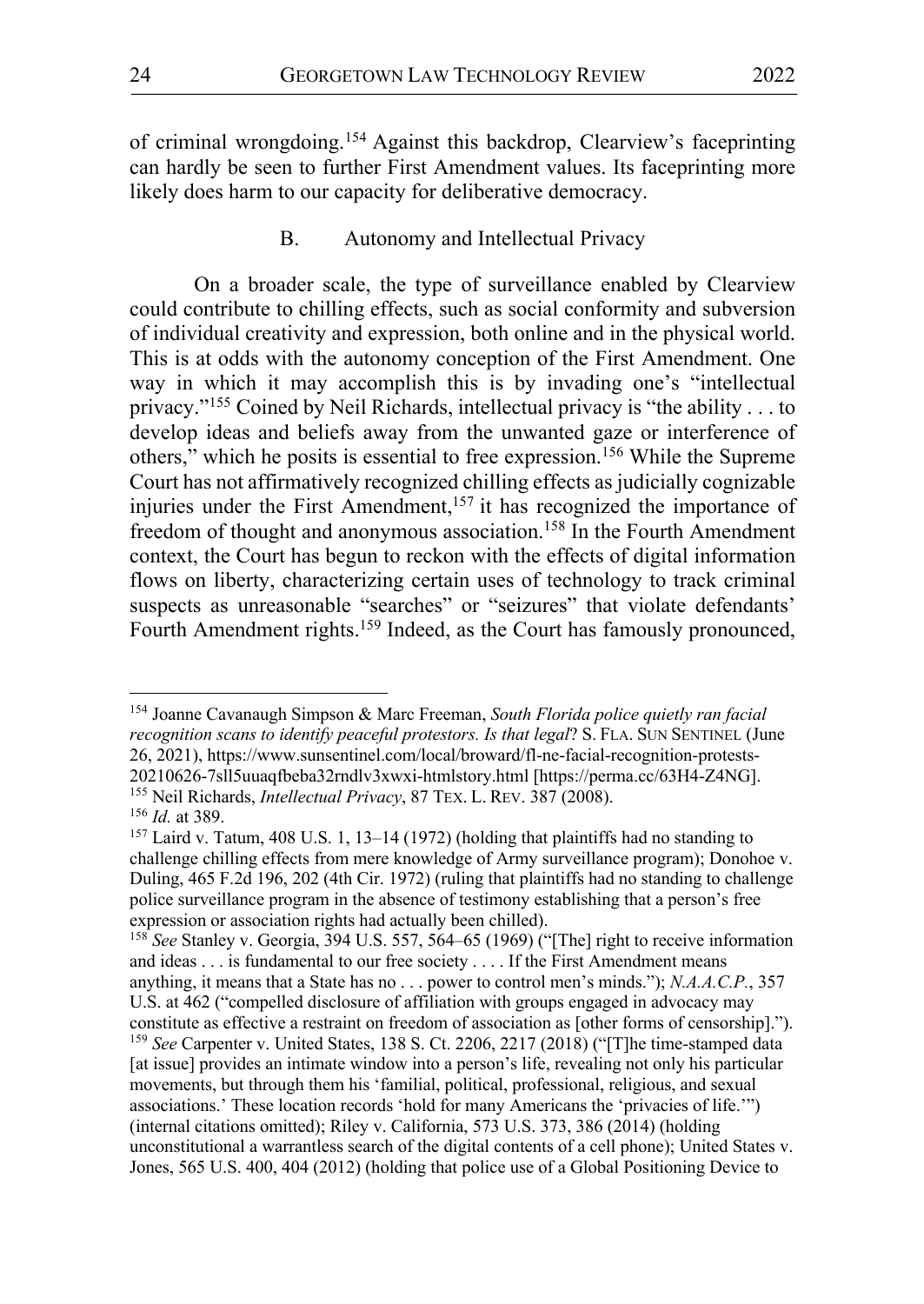of criminal wrongdoing.154 Against this backdrop, Clearview's faceprinting can hardly be seen to further First Amendment values. Its faceprinting more likely does harm to our capacity for deliberative democracy.

#### B. Autonomy and Intellectual Privacy

On a broader scale, the type of surveillance enabled by Clearview could contribute to chilling effects, such as social conformity and subversion of individual creativity and expression, both online and in the physical world. This is at odds with the autonomy conception of the First Amendment. One way in which it may accomplish this is by invading one's "intellectual privacy."155 Coined by Neil Richards, intellectual privacy is "the ability . . . to develop ideas and beliefs away from the unwanted gaze or interference of others," which he posits is essential to free expression.156 While the Supreme Court has not affirmatively recognized chilling effects as judicially cognizable injuries under the First Amendment,<sup>157</sup> it has recognized the importance of freedom of thought and anonymous association.158 In the Fourth Amendment context, the Court has begun to reckon with the effects of digital information flows on liberty, characterizing certain uses of technology to track criminal suspects as unreasonable "searches" or "seizures" that violate defendants' Fourth Amendment rights.<sup>159</sup> Indeed, as the Court has famously pronounced,

 <sup>154</sup> Joanne Cavanaugh Simpson & Marc Freeman, *South Florida police quietly ran facial recognition scans to identify peaceful protestors. Is that legal*? S. FLA. SUN SENTINEL (June 26, 2021), https://www.sunsentinel.com/local/broward/fl-ne-facial-recognition-protests-20210626-7sll5uuaqfbeba32rndlv3xwxi-htmlstory.html [https://perma.cc/63H4-Z4NG].

<sup>155</sup> Neil Richards, *Intellectual Privacy*, 87 TEX. L. REV. 387 (2008). 156 *Id.* at 389.

<sup>157</sup> Laird v. Tatum, 408 U.S. 1, 13–14 (1972) (holding that plaintiffs had no standing to challenge chilling effects from mere knowledge of Army surveillance program); Donohoe v. Duling, 465 F.2d 196, 202 (4th Cir. 1972) (ruling that plaintiffs had no standing to challenge police surveillance program in the absence of testimony establishing that a person's free expression or association rights had actually been chilled).

<sup>&</sup>lt;sup>158</sup> See Stanley v. Georgia, 394 U.S. 557, 564–65 (1969) ("[The] right to receive information and ideas . . . is fundamental to our free society . . . . If the First Amendment means anything, it means that a State has no . . . power to control men's minds."); *N.A.A.C.P.*, 357 U.S. at 462 ("compelled disclosure of affiliation with groups engaged in advocacy may constitute as effective a restraint on freedom of association as [other forms of censorship]."). <sup>159</sup> *See* Carpenter v. United States, 138 S. Ct. 2206, 2217 (2018) ("[T]he time-stamped data [at issue] provides an intimate window into a person's life, revealing not only his particular movements, but through them his 'familial, political, professional, religious, and sexual associations.' These location records 'hold for many Americans the 'privacies of life.'") (internal citations omitted); Riley v. California, 573 U.S. 373, 386 (2014) (holding unconstitutional a warrantless search of the digital contents of a cell phone); United States v. Jones, 565 U.S. 400, 404 (2012) (holding that police use of a Global Positioning Device to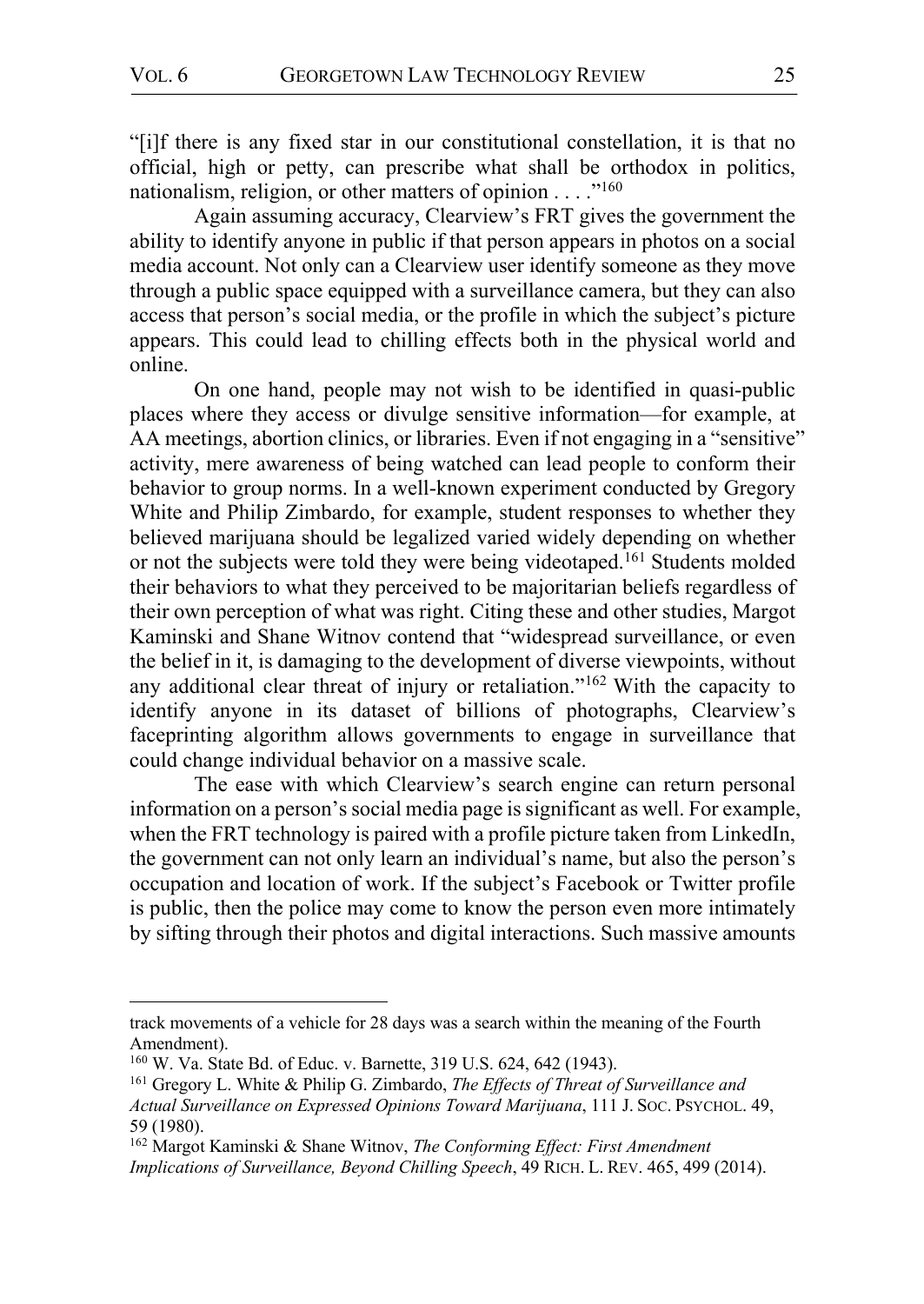$\overline{a}$ 

"[i]f there is any fixed star in our constitutional constellation, it is that no official, high or petty, can prescribe what shall be orthodox in politics, nationalism, religion, or other matters of opinion  $\dots$ <sup>160</sup>

Again assuming accuracy, Clearview's FRT gives the government the ability to identify anyone in public if that person appears in photos on a social media account. Not only can a Clearview user identify someone as they move through a public space equipped with a surveillance camera, but they can also access that person's social media, or the profile in which the subject's picture appears. This could lead to chilling effects both in the physical world and online.

On one hand, people may not wish to be identified in quasi-public places where they access or divulge sensitive information—for example, at AA meetings, abortion clinics, or libraries. Even if not engaging in a "sensitive" activity, mere awareness of being watched can lead people to conform their behavior to group norms. In a well-known experiment conducted by Gregory White and Philip Zimbardo, for example, student responses to whether they believed marijuana should be legalized varied widely depending on whether or not the subjects were told they were being videotaped.<sup>161</sup> Students molded their behaviors to what they perceived to be majoritarian beliefs regardless of their own perception of what was right. Citing these and other studies, Margot Kaminski and Shane Witnov contend that "widespread surveillance, or even the belief in it, is damaging to the development of diverse viewpoints, without any additional clear threat of injury or retaliation."162 With the capacity to identify anyone in its dataset of billions of photographs, Clearview's faceprinting algorithm allows governments to engage in surveillance that could change individual behavior on a massive scale.

The ease with which Clearview's search engine can return personal information on a person's social media page is significant as well. For example, when the FRT technology is paired with a profile picture taken from LinkedIn, the government can not only learn an individual's name, but also the person's occupation and location of work. If the subject's Facebook or Twitter profile is public, then the police may come to know the person even more intimately by sifting through their photos and digital interactions. Such massive amounts

track movements of a vehicle for 28 days was a search within the meaning of the Fourth Amendment).

<sup>&</sup>lt;sup>160</sup> W. Va. State Bd. of Educ. v. Barnette, 319 U.S. 624, 642 (1943).<br><sup>161</sup> Gregory L. White & Philip G. Zimbardo, *The Effects of Threat of Surveillance and* 

*Actual Surveillance on Expressed Opinions Toward Marijuana*, 111 J. SOC. PSYCHOL. 49, 59 (1980).

<sup>162</sup> Margot Kaminski & Shane Witnov, *The Conforming Effect: First Amendment Implications of Surveillance, Beyond Chilling Speech*, 49 RICH. L. REV. 465, 499 (2014).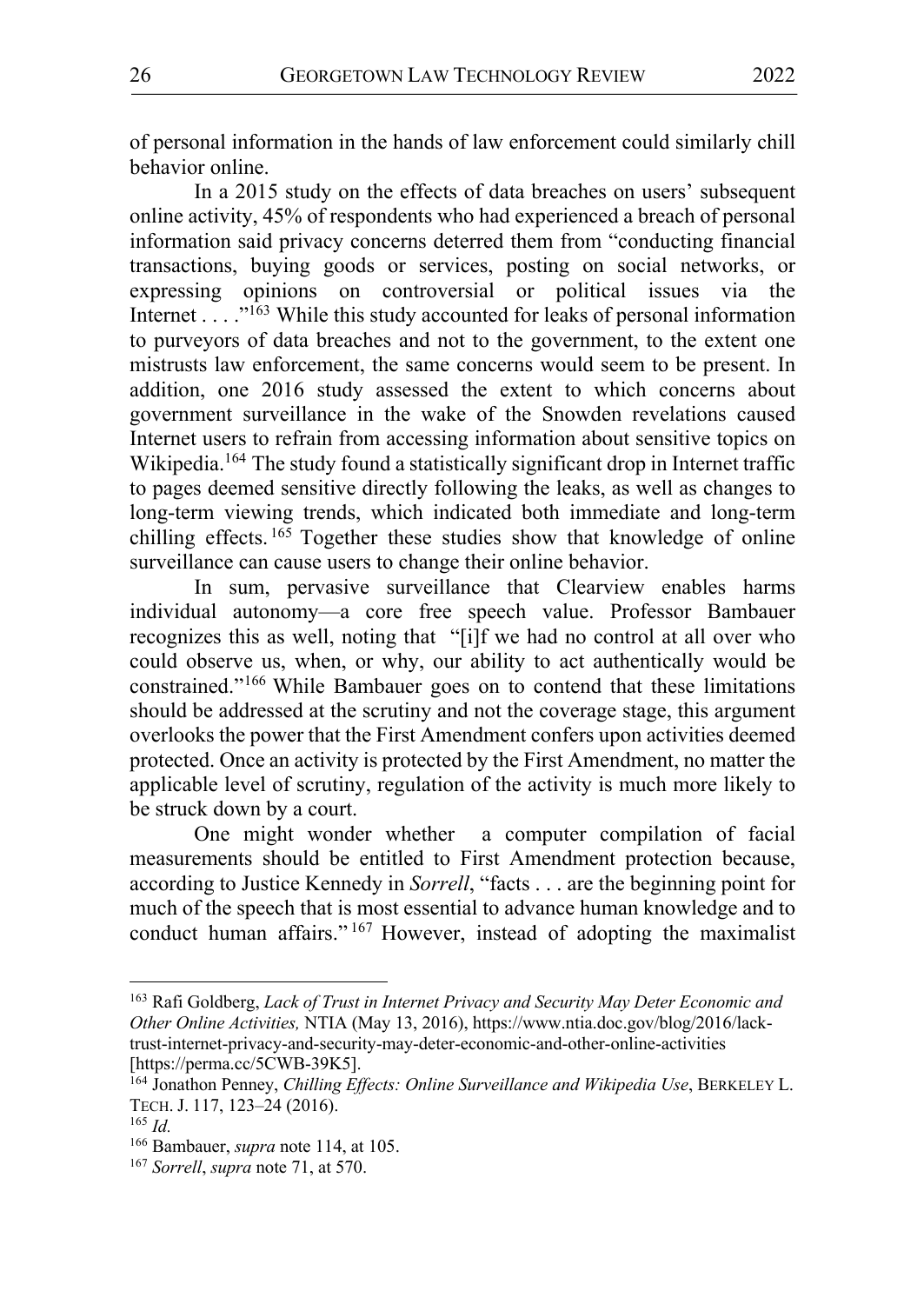of personal information in the hands of law enforcement could similarly chill behavior online.

In a 2015 study on the effects of data breaches on users' subsequent online activity, 45% of respondents who had experienced a breach of personal information said privacy concerns deterred them from "conducting financial transactions, buying goods or services, posting on social networks, or expressing opinions on controversial or political issues via the Internet . . . ."163 While this study accounted for leaks of personal information to purveyors of data breaches and not to the government, to the extent one mistrusts law enforcement, the same concerns would seem to be present. In addition, one 2016 study assessed the extent to which concerns about government surveillance in the wake of the Snowden revelations caused Internet users to refrain from accessing information about sensitive topics on Wikipedia.<sup>164</sup> The study found a statistically significant drop in Internet traffic to pages deemed sensitive directly following the leaks, as well as changes to long-term viewing trends, which indicated both immediate and long-term chilling effects.  $165$  Together these studies show that knowledge of online surveillance can cause users to change their online behavior.

In sum, pervasive surveillance that Clearview enables harms individual autonomy—a core free speech value. Professor Bambauer recognizes this as well, noting that "[i]f we had no control at all over who could observe us, when, or why, our ability to act authentically would be constrained."166 While Bambauer goes on to contend that these limitations should be addressed at the scrutiny and not the coverage stage, this argument overlooks the power that the First Amendment confers upon activities deemed protected. Once an activity is protected by the First Amendment, no matter the applicable level of scrutiny, regulation of the activity is much more likely to be struck down by a court.

One might wonder whether a computer compilation of facial measurements should be entitled to First Amendment protection because, according to Justice Kennedy in *Sorrell*, "facts . . . are the beginning point for much of the speech that is most essential to advance human knowledge and to conduct human affairs." <sup>167</sup> However, instead of adopting the maximalist

 <sup>163</sup> Rafi Goldberg, *Lack of Trust in Internet Privacy and Security May Deter Economic and Other Online Activities,* NTIA (May 13, 2016), https://www.ntia.doc.gov/blog/2016/lacktrust-internet-privacy-and-security-may-deter-economic-and-other-online-activities [https://perma.cc/5CWB-39K5].

<sup>164</sup> Jonathon Penney, *Chilling Effects: Online Surveillance and Wikipedia Use*, BERKELEY L. TECH. J. 117, 123–24 (2016). 165 *Id.*

<sup>166</sup> Bambauer, *supra* note 114, at 105. 167 *Sorrell*, *supra* note 71, at 570.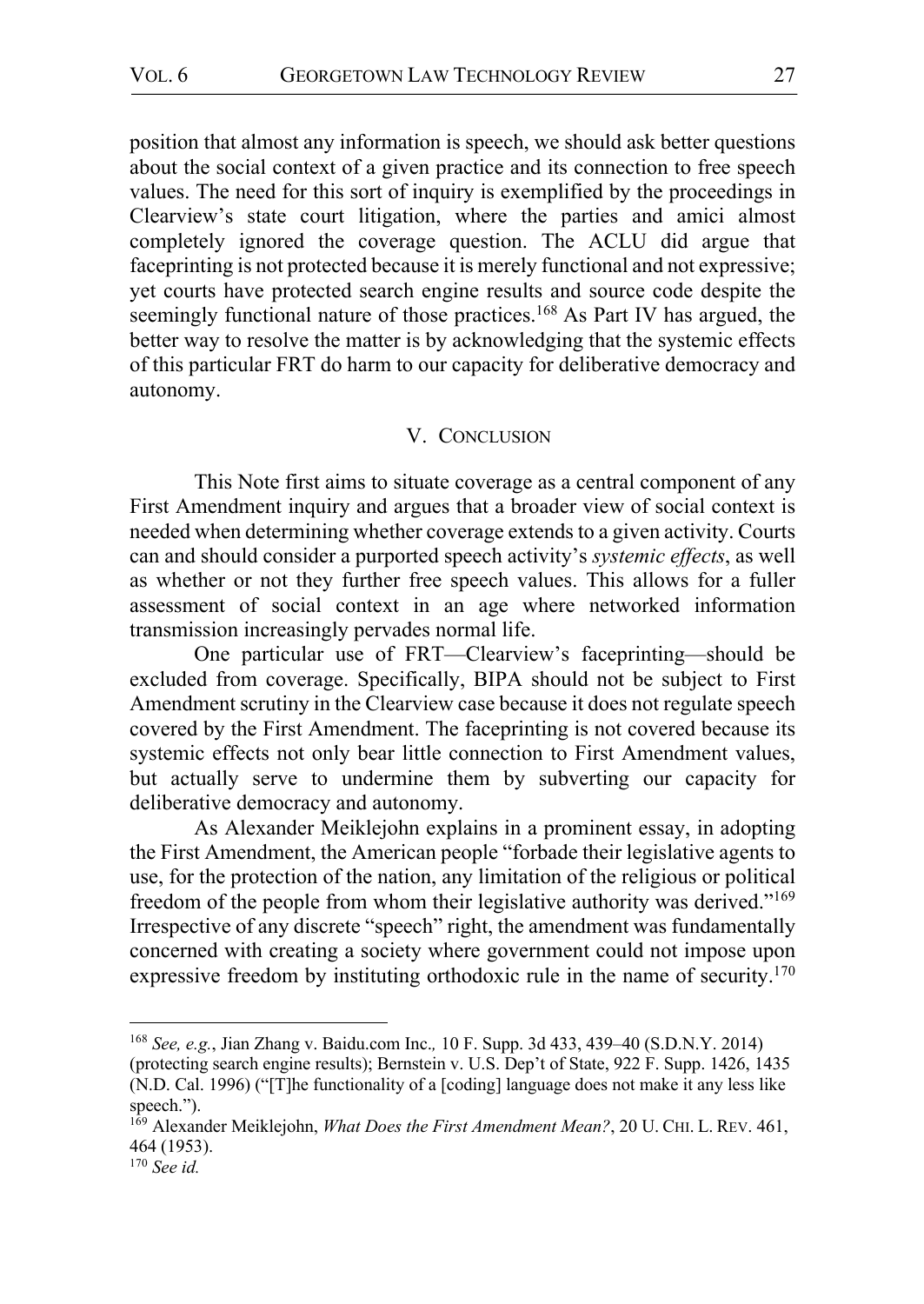position that almost any information is speech, we should ask better questions about the social context of a given practice and its connection to free speech values. The need for this sort of inquiry is exemplified by the proceedings in Clearview's state court litigation, where the parties and amici almost completely ignored the coverage question. The ACLU did argue that faceprinting is not protected because it is merely functional and not expressive; yet courts have protected search engine results and source code despite the seemingly functional nature of those practices.<sup>168</sup> As Part IV has argued, the better way to resolve the matter is by acknowledging that the systemic effects of this particular FRT do harm to our capacity for deliberative democracy and autonomy.

#### V. CONCLUSION

This Note first aims to situate coverage as a central component of any First Amendment inquiry and argues that a broader view of social context is needed when determining whether coverage extends to a given activity. Courts can and should consider a purported speech activity's *systemic effects*, as well as whether or not they further free speech values. This allows for a fuller assessment of social context in an age where networked information transmission increasingly pervades normal life.

One particular use of FRT—Clearview's faceprinting—should be excluded from coverage. Specifically, BIPA should not be subject to First Amendment scrutiny in the Clearview case because it does not regulate speech covered by the First Amendment. The faceprinting is not covered because its systemic effects not only bear little connection to First Amendment values, but actually serve to undermine them by subverting our capacity for deliberative democracy and autonomy.

As Alexander Meiklejohn explains in a prominent essay, in adopting the First Amendment, the American people "forbade their legislative agents to use, for the protection of the nation, any limitation of the religious or political freedom of the people from whom their legislative authority was derived."169 Irrespective of any discrete "speech" right, the amendment was fundamentally concerned with creating a society where government could not impose upon expressive freedom by instituting orthodoxic rule in the name of security.<sup>170</sup>

 <sup>168</sup> *See, e.g.*, Jian Zhang v. Baidu.com Inc.*,* 10 F. Supp. 3d 433, 439–40 (S.D.N.Y. 2014) (protecting search engine results); Bernstein v. U.S. Dep't of State, 922 F. Supp. 1426, 1435 (N.D. Cal. 1996) ("[T]he functionality of a [coding] language does not make it any less like speech.").<br><sup>169</sup> Alexander Meiklejohn, *What Does the First Amendment Mean?*, 20 U. CHI. L. REV. 461,

<sup>464 (1953).</sup> 

<sup>170</sup> *See id.*